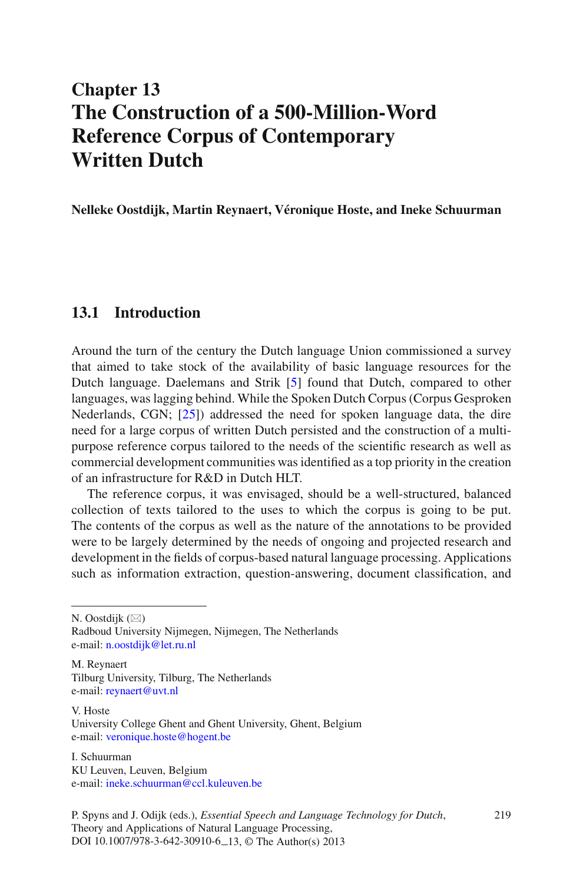# **Chapter 13 The Construction of a 500-Million-Word Reference Corpus of Contemporary Written Dutch**

**Nelleke Oostdijk, Martin Reynaert, Veronique Hoste, and Ineke Schuurman ´**

# **13.1 Introduction**

Around the turn of the century the Dutch language Union commissioned a survey that aimed to take stock of the availability of basic language resources for the Dutch language. Daelemans and Strik [\[5](#page-25-0)] found that Dutch, compared to other languages, was lagging behind. While the Spoken Dutch Corpus (Corpus Gesproken Nederlands, CGN; [\[25\]](#page-26-0)) addressed the need for spoken language data, the dire need for a large corpus of written Dutch persisted and the construction of a multipurpose reference corpus tailored to the needs of the scientific research as well as commercial development communities was identified as a top priority in the creation of an infrastructure for R&D in Dutch HLT.

The reference corpus, it was envisaged, should be a well-structured, balanced collection of texts tailored to the uses to which the corpus is going to be put. The contents of the corpus as well as the nature of the annotations to be provided were to be largely determined by the needs of ongoing and projected research and development in the fields of corpus-based natural language processing. Applications such as information extraction, question-answering, document classification, and

N. Oostdijk (⊠)

M. Reynaert Tilburg University, Tilburg, The Netherlands e-mail: reynaert@uvt.nl

V. Hoste University College Ghent and Ghent University, Ghent, Belgium e-mail: veronique.hoste@hogent.be

I. Schuurman KU Leuven, Leuven, Belgium e-mail: ineke.schuurman@ccl.kuleuven.be

Radboud University Nijmegen, Nijmegen, The Netherlands e-mail: n.oostdijk@let.ru.nl

P. Spyns and J. Odijk (eds.), *Essential Speech and Language Technology for Dutch*, Theory and Applications of Natural Language Processing, DOI 10.1007/978-3-642-30910-6\_13, © The Author(s) 2013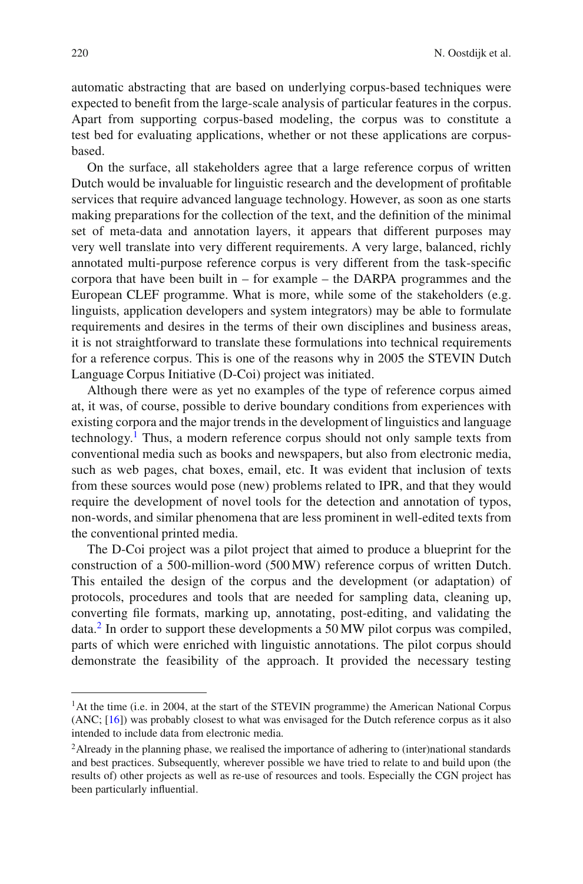automatic abstracting that are based on underlying corpus-based techniques were expected to benefit from the large-scale analysis of particular features in the corpus. Apart from supporting corpus-based modeling, the corpus was to constitute a test bed for evaluating applications, whether or not these applications are corpusbased.

On the surface, all stakeholders agree that a large reference corpus of written Dutch would be invaluable for linguistic research and the development of profitable services that require advanced language technology. However, as soon as one starts making preparations for the collection of the text, and the definition of the minimal set of meta-data and annotation layers, it appears that different purposes may very well translate into very different requirements. A very large, balanced, richly annotated multi-purpose reference corpus is very different from the task-specific corpora that have been built in – for example – the DARPA programmes and the European CLEF programme. What is more, while some of the stakeholders (e.g. linguists, application developers and system integrators) may be able to formulate requirements and desires in the terms of their own disciplines and business areas, it is not straightforward to translate these formulations into technical requirements for a reference corpus. This is one of the reasons why in 2005 the STEVIN Dutch Language Corpus Initiative (D-Coi) project was initiated.

Although there were as yet no examples of the type of reference corpus aimed at, it was, of course, possible to derive boundary conditions from experiences with existing corpora and the major trends in the development of linguistics and language technology.<sup>[1](#page-1-0)</sup> Thus, a modern reference corpus should not only sample texts from conventional media such as books and newspapers, but also from electronic media, such as web pages, chat boxes, email, etc. It was evident that inclusion of texts from these sources would pose (new) problems related to IPR, and that they would require the development of novel tools for the detection and annotation of typos, non-words, and similar phenomena that are less prominent in well-edited texts from the conventional printed media.

The D-Coi project was a pilot project that aimed to produce a blueprint for the construction of a 500-million-word (500 MW) reference corpus of written Dutch. This entailed the design of the corpus and the development (or adaptation) of protocols, procedures and tools that are needed for sampling data, cleaning up, converting file formats, marking up, annotating, post-editing, and validating the  $data<sup>2</sup>$  $data<sup>2</sup>$  $data<sup>2</sup>$  In order to support these developments a 50 MW pilot corpus was compiled, parts of which were enriched with linguistic annotations. The pilot corpus should demonstrate the feasibility of the approach. It provided the necessary testing

<span id="page-1-0"></span><sup>&</sup>lt;sup>1</sup>At the time (i.e. in 2004, at the start of the STEVIN programme) the American National Corpus (ANC; [\[16](#page-26-1)]) was probably closest to what was envisaged for the Dutch reference corpus as it also intended to include data from electronic media.

<span id="page-1-1"></span><sup>2</sup>Already in the planning phase, we realised the importance of adhering to (inter)national standards and best practices. Subsequently, wherever possible we have tried to relate to and build upon (the results of) other projects as well as re-use of resources and tools. Especially the CGN project has been particularly influential.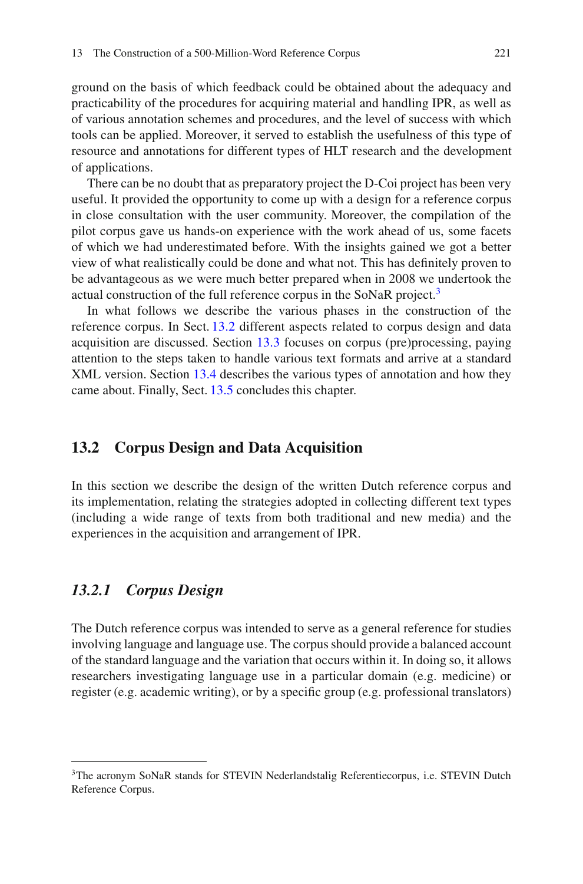ground on the basis of which feedback could be obtained about the adequacy and practicability of the procedures for acquiring material and handling IPR, as well as of various annotation schemes and procedures, and the level of success with which tools can be applied. Moreover, it served to establish the usefulness of this type of resource and annotations for different types of HLT research and the development of applications.

There can be no doubt that as preparatory project the D-Coi project has been very useful. It provided the opportunity to come up with a design for a reference corpus in close consultation with the user community. Moreover, the compilation of the pilot corpus gave us hands-on experience with the work ahead of us, some facets of which we had underestimated before. With the insights gained we got a better view of what realistically could be done and what not. This has definitely proven to be advantageous as we were much better prepared when in 2008 we undertook the actual construction of the full reference corpus in the SoNaR project.<sup>[3](#page-2-0)</sup>

In what follows we describe the various phases in the construction of the reference corpus. In Sect. [13.2](#page-2-1) different aspects related to corpus design and data acquisition are discussed. Section [13.3](#page-8-0) focuses on corpus (pre)processing, paying attention to the steps taken to handle various text formats and arrive at a standard XML version. Section [13.4](#page-11-0) describes the various types of annotation and how they came about. Finally, Sect. [13.5](#page-23-0) concludes this chapter.

# <span id="page-2-1"></span>**13.2 Corpus Design and Data Acquisition**

In this section we describe the design of the written Dutch reference corpus and its implementation, relating the strategies adopted in collecting different text types (including a wide range of texts from both traditional and new media) and the experiences in the acquisition and arrangement of IPR.

# *13.2.1 Corpus Design*

The Dutch reference corpus was intended to serve as a general reference for studies involving language and language use. The corpus should provide a balanced account of the standard language and the variation that occurs within it. In doing so, it allows researchers investigating language use in a particular domain (e.g. medicine) or register (e.g. academic writing), or by a specific group (e.g. professional translators)

<span id="page-2-0"></span><sup>&</sup>lt;sup>3</sup>The acronym SoNaR stands for STEVIN Nederlandstalig Referentiecorpus, i.e. STEVIN Dutch Reference Corpus.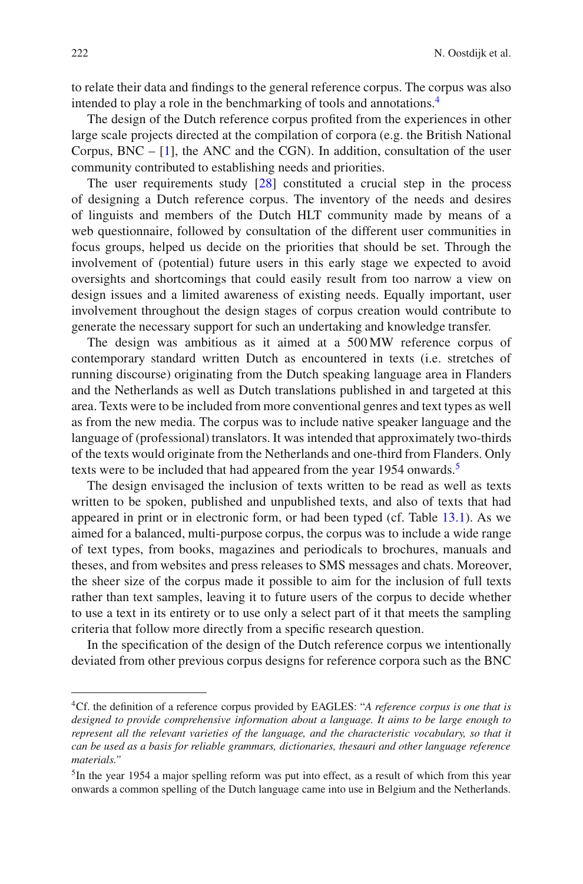to relate their data and findings to the general reference corpus. The corpus was also intended to play a role in the benchmarking of tools and annotations[.4](#page-3-0)

The design of the Dutch reference corpus profited from the experiences in other large scale projects directed at the compilation of corpora (e.g. the British National Corpus,  $BNC - [1]$  $BNC - [1]$ , the ANC and the CGN). In addition, consultation of the user community contributed to establishing needs and priorities.

The user requirements study [\[28](#page-26-2)] constituted a crucial step in the process of designing a Dutch reference corpus. The inventory of the needs and desires of linguists and members of the Dutch HLT community made by means of a web questionnaire, followed by consultation of the different user communities in focus groups, helped us decide on the priorities that should be set. Through the involvement of (potential) future users in this early stage we expected to avoid oversights and shortcomings that could easily result from too narrow a view on design issues and a limited awareness of existing needs. Equally important, user involvement throughout the design stages of corpus creation would contribute to generate the necessary support for such an undertaking and knowledge transfer.

The design was ambitious as it aimed at a 500 MW reference corpus of contemporary standard written Dutch as encountered in texts (i.e. stretches of running discourse) originating from the Dutch speaking language area in Flanders and the Netherlands as well as Dutch translations published in and targeted at this area. Texts were to be included from more conventional genres and text types as well as from the new media. The corpus was to include native speaker language and the language of (professional) translators. It was intended that approximately two-thirds of the texts would originate from the Netherlands and one-third from Flanders. Only texts were to be included that had appeared from the year 19[5](#page-3-1)4 onwards.<sup>5</sup>

The design envisaged the inclusion of texts written to be read as well as texts written to be spoken, published and unpublished texts, and also of texts that had appeared in print or in electronic form, or had been typed (cf. Table [13.1\)](#page-4-0). As we aimed for a balanced, multi-purpose corpus, the corpus was to include a wide range of text types, from books, magazines and periodicals to brochures, manuals and theses, and from websites and press releases to SMS messages and chats. Moreover, the sheer size of the corpus made it possible to aim for the inclusion of full texts rather than text samples, leaving it to future users of the corpus to decide whether to use a text in its entirety or to use only a select part of it that meets the sampling criteria that follow more directly from a specific research question.

In the specification of the design of the Dutch reference corpus we intentionally deviated from other previous corpus designs for reference corpora such as the BNC

<span id="page-3-0"></span><sup>4</sup>Cf. the definition of a reference corpus provided by EAGLES: "*A reference corpus is one that is designed to provide comprehensive information about a language. It aims to be large enough to represent all the relevant varieties of the language, and the characteristic vocabulary, so that it can be used as a basis for reliable grammars, dictionaries, thesauri and other language reference materials."*

<span id="page-3-1"></span><sup>&</sup>lt;sup>5</sup>In the year 1954 a major spelling reform was put into effect, as a result of which from this year onwards a common spelling of the Dutch language came into use in Belgium and the Netherlands.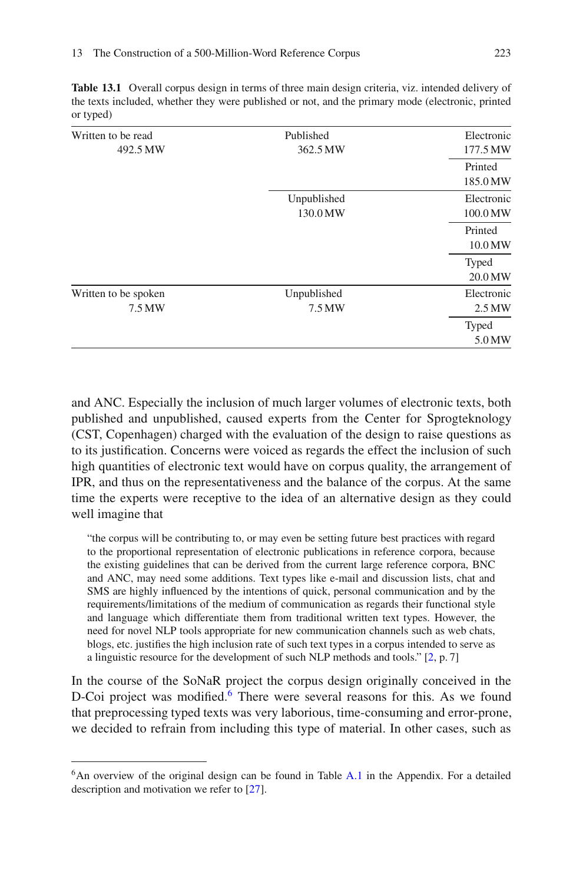<span id="page-4-0"></span>**Table 13.1** Overall corpus design in terms of three main design criteria, viz. intended delivery of the texts included, whether they were published or not, and the primary mode (electronic, printed or typed)

| Written to be read<br>492.5 MW | Published<br>362.5 MW   | Electronic<br>177.5 MW<br>Printed<br>185.0 MW |  |
|--------------------------------|-------------------------|-----------------------------------------------|--|
|                                |                         |                                               |  |
|                                | Unpublished<br>130.0 MW | Electronic<br>100.0 MW                        |  |
|                                |                         | Printed<br>$10.0$ MW                          |  |
|                                |                         | Typed<br>20.0 MW                              |  |
| Written to be spoken<br>7.5 MW | Unpublished<br>7.5 MW   | Electronic<br>2.5 MW                          |  |
|                                |                         | Typed<br>5.0 MW                               |  |

and ANC. Especially the inclusion of much larger volumes of electronic texts, both published and unpublished, caused experts from the Center for Sprogteknology (CST, Copenhagen) charged with the evaluation of the design to raise questions as to its justification. Concerns were voiced as regards the effect the inclusion of such high quantities of electronic text would have on corpus quality, the arrangement of IPR, and thus on the representativeness and the balance of the corpus. At the same time the experts were receptive to the idea of an alternative design as they could well imagine that

"the corpus will be contributing to, or may even be setting future best practices with regard to the proportional representation of electronic publications in reference corpora, because the existing guidelines that can be derived from the current large reference corpora, BNC and ANC, may need some additions. Text types like e-mail and discussion lists, chat and SMS are highly influenced by the intentions of quick, personal communication and by the requirements/limitations of the medium of communication as regards their functional style and language which differentiate them from traditional written text types. However, the need for novel NLP tools appropriate for new communication channels such as web chats, blogs, etc. justifies the high inclusion rate of such text types in a corpus intended to serve as a linguistic resource for the development of such NLP methods and tools." [\[2](#page-25-2), p. 7]

In the course of the SoNaR project the corpus design originally conceived in the D-Coi project was modified.<sup>[6](#page-4-1)</sup> There were several reasons for this. As we found that preprocessing typed texts was very laborious, time-consuming and error-prone, we decided to refrain from including this type of material. In other cases, such as

<span id="page-4-1"></span> $6$ An overview of the original design can be found in Table [A.1](#page-25-3) in the Appendix. For a detailed description and motivation we refer to [\[27](#page-26-3)].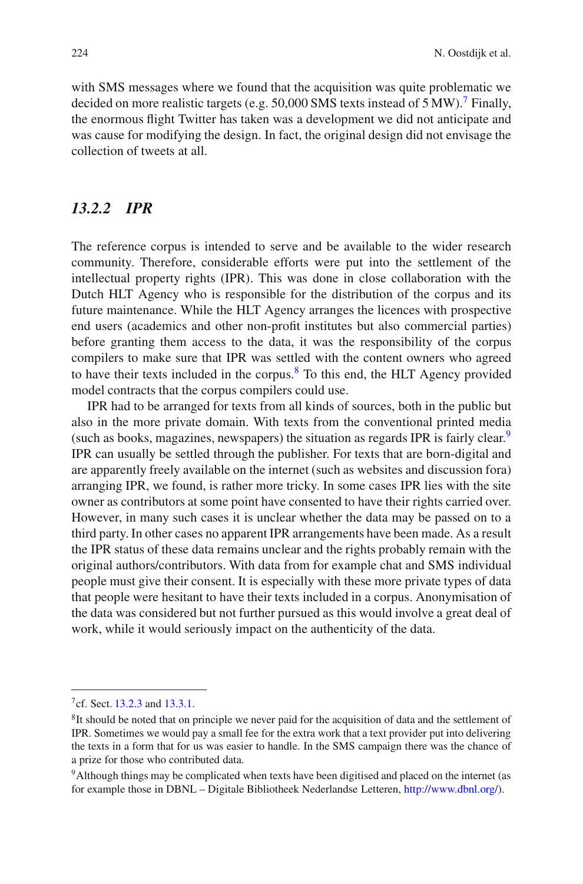with SMS messages where we found that the acquisition was quite problematic we decided on more realistic targets (e.g.  $50,000$  SMS texts instead of  $5 \text{ MW}$ ).<sup>[7](#page-5-0)</sup> Finally, the enormous flight Twitter has taken was a development we did not anticipate and was cause for modifying the design. In fact, the original design did not envisage the collection of tweets at all.

# <span id="page-5-3"></span>*13.2.2 IPR*

The reference corpus is intended to serve and be available to the wider research community. Therefore, considerable efforts were put into the settlement of the intellectual property rights (IPR). This was done in close collaboration with the Dutch HLT Agency who is responsible for the distribution of the corpus and its future maintenance. While the HLT Agency arranges the licences with prospective end users (academics and other non-profit institutes but also commercial parties) before granting them access to the data, it was the responsibility of the corpus compilers to make sure that IPR was settled with the content owners who agreed to have their texts included in the corpus. $8$  To this end, the HLT Agency provided model contracts that the corpus compilers could use.

IPR had to be arranged for texts from all kinds of sources, both in the public but also in the more private domain. With texts from the conventional printed media (such as books, magazines, newspapers) the situation as regards IPR is fairly clear.<sup>9</sup> IPR can usually be settled through the publisher. For texts that are born-digital and are apparently freely available on the internet (such as websites and discussion fora) arranging IPR, we found, is rather more tricky. In some cases IPR lies with the site owner as contributors at some point have consented to have their rights carried over. However, in many such cases it is unclear whether the data may be passed on to a third party. In other cases no apparent IPR arrangements have been made. As a result the IPR status of these data remains unclear and the rights probably remain with the original authors/contributors. With data from for example chat and SMS individual people must give their consent. It is especially with these more private types of data that people were hesitant to have their texts included in a corpus. Anonymisation of the data was considered but not further pursued as this would involve a great deal of work, while it would seriously impact on the authenticity of the data.

<sup>7</sup>cf. Sect. [13.2.3](#page-6-0) and [13.3.1.](#page-9-0)

<span id="page-5-1"></span><span id="page-5-0"></span><sup>8</sup>It should be noted that on principle we never paid for the acquisition of data and the settlement of IPR. Sometimes we would pay a small fee for the extra work that a text provider put into delivering the texts in a form that for us was easier to handle. In the SMS campaign there was the chance of a prize for those who contributed data.

<span id="page-5-2"></span><sup>9</sup>Although things may be complicated when texts have been digitised and placed on the internet (as for example those in DBNL – Digitale Bibliotheek Nederlandse Letteren, [http://www.dbnl.org/\)](http://www.dbnl.org/).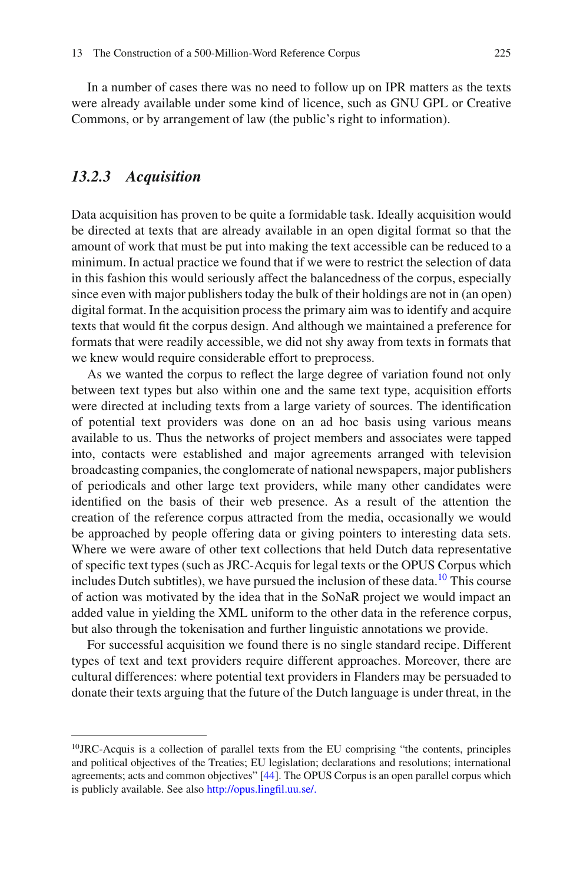In a number of cases there was no need to follow up on IPR matters as the texts were already available under some kind of licence, such as GNU GPL or Creative Commons, or by arrangement of law (the public's right to information).

# <span id="page-6-0"></span>*13.2.3 Acquisition*

Data acquisition has proven to be quite a formidable task. Ideally acquisition would be directed at texts that are already available in an open digital format so that the amount of work that must be put into making the text accessible can be reduced to a minimum. In actual practice we found that if we were to restrict the selection of data in this fashion this would seriously affect the balancedness of the corpus, especially since even with major publishers today the bulk of their holdings are not in (an open) digital format. In the acquisition process the primary aim was to identify and acquire texts that would fit the corpus design. And although we maintained a preference for formats that were readily accessible, we did not shy away from texts in formats that we knew would require considerable effort to preprocess.

As we wanted the corpus to reflect the large degree of variation found not only between text types but also within one and the same text type, acquisition efforts were directed at including texts from a large variety of sources. The identification of potential text providers was done on an ad hoc basis using various means available to us. Thus the networks of project members and associates were tapped into, contacts were established and major agreements arranged with television broadcasting companies, the conglomerate of national newspapers, major publishers of periodicals and other large text providers, while many other candidates were identified on the basis of their web presence. As a result of the attention the creation of the reference corpus attracted from the media, occasionally we would be approached by people offering data or giving pointers to interesting data sets. Where we were aware of other text collections that held Dutch data representative of specific text types (such as JRC-Acquis for legal texts or the OPUS Corpus which includes Dutch subtitles), we have pursued the inclusion of these data.<sup>[10](#page-6-1)</sup> This course of action was motivated by the idea that in the SoNaR project we would impact an added value in yielding the XML uniform to the other data in the reference corpus, but also through the tokenisation and further linguistic annotations we provide.

For successful acquisition we found there is no single standard recipe. Different types of text and text providers require different approaches. Moreover, there are cultural differences: where potential text providers in Flanders may be persuaded to donate their texts arguing that the future of the Dutch language is under threat, in the

<span id="page-6-1"></span> $10$ JRC-Acquis is a collection of parallel texts from the EU comprising "the contents, principles and political objectives of the Treaties; EU legislation; declarations and resolutions; international agreements; acts and common objectives" [\[44](#page-27-0)]. The OPUS Corpus is an open parallel corpus which is publicly available. See also <http://opus.lingfil.uu.se/.>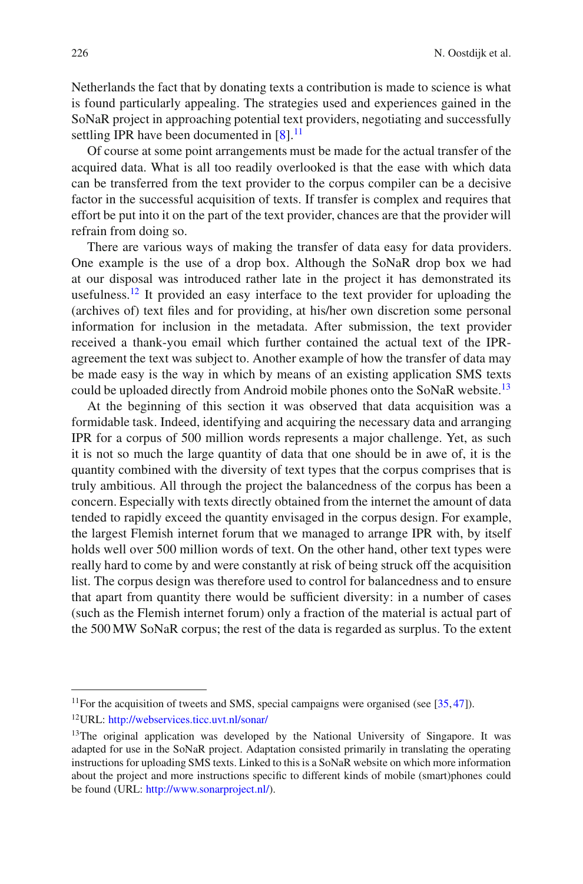Netherlands the fact that by donating texts a contribution is made to science is what is found particularly appealing. The strategies used and experiences gained in the SoNaR project in approaching potential text providers, negotiating and successfully settling IPR have been documented in  $[8]$ <sup>[11](#page-7-0)</sup>

Of course at some point arrangements must be made for the actual transfer of the acquired data. What is all too readily overlooked is that the ease with which data can be transferred from the text provider to the corpus compiler can be a decisive factor in the successful acquisition of texts. If transfer is complex and requires that effort be put into it on the part of the text provider, chances are that the provider will refrain from doing so.

There are various ways of making the transfer of data easy for data providers. One example is the use of a drop box. Although the SoNaR drop box we had at our disposal was introduced rather late in the project it has demonstrated its usefulness.<sup>[12](#page-7-1)</sup> It provided an easy interface to the text provider for uploading the (archives of) text files and for providing, at his/her own discretion some personal information for inclusion in the metadata. After submission, the text provider received a thank-you email which further contained the actual text of the IPRagreement the text was subject to. Another example of how the transfer of data may be made easy is the way in which by means of an existing application SMS texts could be uploaded directly from Android mobile phones onto the SoNaR website.<sup>13</sup>

At the beginning of this section it was observed that data acquisition was a formidable task. Indeed, identifying and acquiring the necessary data and arranging IPR for a corpus of 500 million words represents a major challenge. Yet, as such it is not so much the large quantity of data that one should be in awe of, it is the quantity combined with the diversity of text types that the corpus comprises that is truly ambitious. All through the project the balancedness of the corpus has been a concern. Especially with texts directly obtained from the internet the amount of data tended to rapidly exceed the quantity envisaged in the corpus design. For example, the largest Flemish internet forum that we managed to arrange IPR with, by itself holds well over 500 million words of text. On the other hand, other text types were really hard to come by and were constantly at risk of being struck off the acquisition list. The corpus design was therefore used to control for balancedness and to ensure that apart from quantity there would be sufficient diversity: in a number of cases (such as the Flemish internet forum) only a fraction of the material is actual part of the 500 MW SoNaR corpus; the rest of the data is regarded as surplus. To the extent

 $11$ For the acquisition of tweets and SMS, special campaigns were organised (see [\[35,](#page-27-1) [47](#page-27-2)]).

<span id="page-7-0"></span><sup>12</sup>URL: <http://webservices.ticc.uvt.nl/sonar/>

<span id="page-7-2"></span><span id="page-7-1"></span><sup>&</sup>lt;sup>13</sup>The original application was developed by the National University of Singapore. It was adapted for use in the SoNaR project. Adaptation consisted primarily in translating the operating instructions for uploading SMS texts. Linked to this is a SoNaR website on which more information about the project and more instructions specific to different kinds of mobile (smart)phones could be found (URL: [http://www.sonarproject.nl/\)](http://www.sonarproject.nl/).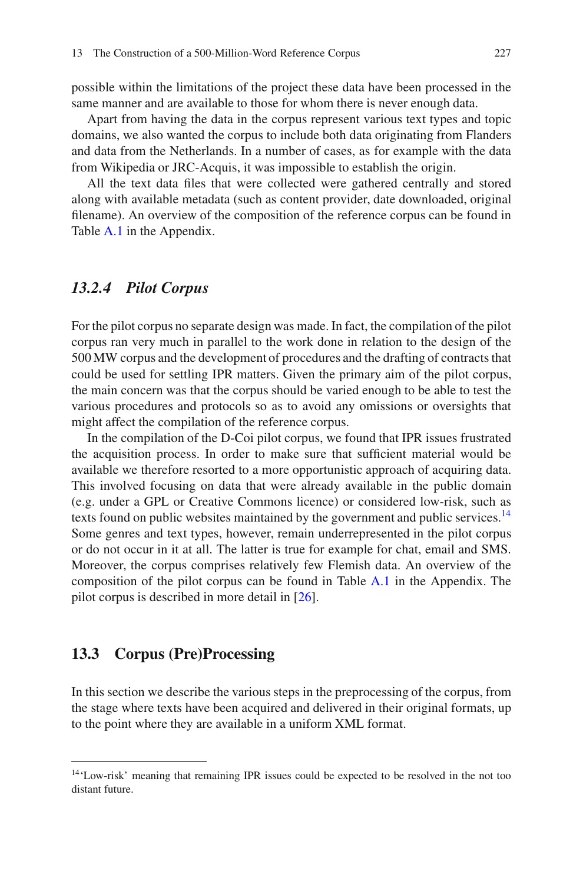possible within the limitations of the project these data have been processed in the same manner and are available to those for whom there is never enough data.

Apart from having the data in the corpus represent various text types and topic domains, we also wanted the corpus to include both data originating from Flanders and data from the Netherlands. In a number of cases, as for example with the data from Wikipedia or JRC-Acquis, it was impossible to establish the origin.

All the text data files that were collected were gathered centrally and stored along with available metadata (such as content provider, date downloaded, original filename). An overview of the composition of the reference corpus can be found in Table [A.1](#page-25-3) in the Appendix.

#### *13.2.4 Pilot Corpus*

For the pilot corpus no separate design was made. In fact, the compilation of the pilot corpus ran very much in parallel to the work done in relation to the design of the 500 MW corpus and the development of procedures and the drafting of contracts that could be used for settling IPR matters. Given the primary aim of the pilot corpus, the main concern was that the corpus should be varied enough to be able to test the various procedures and protocols so as to avoid any omissions or oversights that might affect the compilation of the reference corpus.

In the compilation of the D-Coi pilot corpus, we found that IPR issues frustrated the acquisition process. In order to make sure that sufficient material would be available we therefore resorted to a more opportunistic approach of acquiring data. This involved focusing on data that were already available in the public domain (e.g. under a GPL or Creative Commons licence) or considered low-risk, such as texts found on public websites maintained by the government and public services.<sup>[14](#page-8-1)</sup> Some genres and text types, however, remain underrepresented in the pilot corpus or do not occur in it at all. The latter is true for example for chat, email and SMS. Moreover, the corpus comprises relatively few Flemish data. An overview of the composition of the pilot corpus can be found in Table [A.1](#page-25-3) in the Appendix. The pilot corpus is described in more detail in [\[26\]](#page-26-4).

# <span id="page-8-0"></span>**13.3 Corpus (Pre)Processing**

In this section we describe the various steps in the preprocessing of the corpus, from the stage where texts have been acquired and delivered in their original formats, up to the point where they are available in a uniform XML format.

<span id="page-8-1"></span><sup>&</sup>lt;sup>14</sup>'Low-risk' meaning that remaining IPR issues could be expected to be resolved in the not too distant future.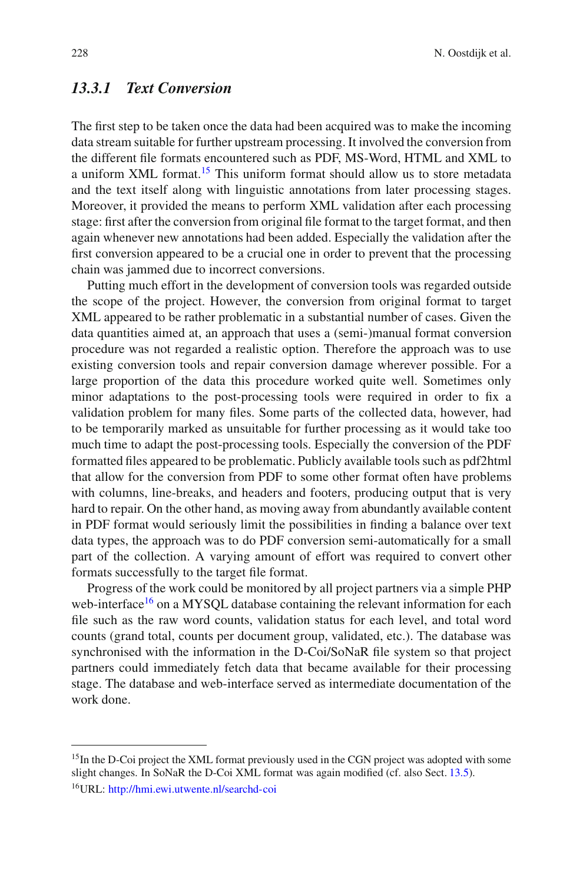# <span id="page-9-0"></span>*13.3.1 Text Conversion*

The first step to be taken once the data had been acquired was to make the incoming data stream suitable for further upstream processing. It involved the conversion from the different file formats encountered such as PDF, MS-Word, HTML and XML to a uniform XML format.<sup>[15](#page-9-1)</sup> This uniform format should allow us to store metadata and the text itself along with linguistic annotations from later processing stages. Moreover, it provided the means to perform XML validation after each processing stage: first after the conversion from original file format to the target format, and then again whenever new annotations had been added. Especially the validation after the first conversion appeared to be a crucial one in order to prevent that the processing chain was jammed due to incorrect conversions.

Putting much effort in the development of conversion tools was regarded outside the scope of the project. However, the conversion from original format to target XML appeared to be rather problematic in a substantial number of cases. Given the data quantities aimed at, an approach that uses a (semi-)manual format conversion procedure was not regarded a realistic option. Therefore the approach was to use existing conversion tools and repair conversion damage wherever possible. For a large proportion of the data this procedure worked quite well. Sometimes only minor adaptations to the post-processing tools were required in order to fix a validation problem for many files. Some parts of the collected data, however, had to be temporarily marked as unsuitable for further processing as it would take too much time to adapt the post-processing tools. Especially the conversion of the PDF formatted files appeared to be problematic. Publicly available tools such as pdf2html that allow for the conversion from PDF to some other format often have problems with columns, line-breaks, and headers and footers, producing output that is very hard to repair. On the other hand, as moving away from abundantly available content in PDF format would seriously limit the possibilities in finding a balance over text data types, the approach was to do PDF conversion semi-automatically for a small part of the collection. A varying amount of effort was required to convert other formats successfully to the target file format.

Progress of the work could be monitored by all project partners via a simple PHP web-interface<sup>[16](#page-9-2)</sup> on a MYSQL database containing the relevant information for each file such as the raw word counts, validation status for each level, and total word counts (grand total, counts per document group, validated, etc.). The database was synchronised with the information in the D-Coi/SoNaR file system so that project partners could immediately fetch data that became available for their processing stage. The database and web-interface served as intermediate documentation of the work done.

<span id="page-9-1"></span><sup>&</sup>lt;sup>15</sup>In the D-Coi project the XML format previously used in the CGN project was adopted with some slight changes. In SoNaR the D-Coi XML format was again modified (cf. also Sect. [13.5\)](#page-23-0).

<span id="page-9-2"></span><sup>16</sup>URL: <http://hmi.ewi.utwente.nl/searchd-coi>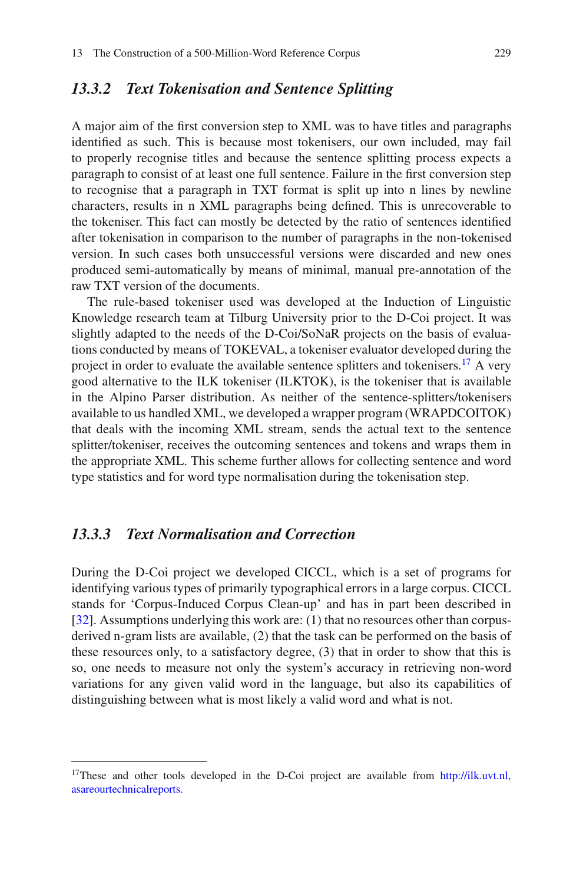# *13.3.2 Text Tokenisation and Sentence Splitting*

A major aim of the first conversion step to XML was to have titles and paragraphs identified as such. This is because most tokenisers, our own included, may fail to properly recognise titles and because the sentence splitting process expects a paragraph to consist of at least one full sentence. Failure in the first conversion step to recognise that a paragraph in TXT format is split up into n lines by newline characters, results in n XML paragraphs being defined. This is unrecoverable to the tokeniser. This fact can mostly be detected by the ratio of sentences identified after tokenisation in comparison to the number of paragraphs in the non-tokenised version. In such cases both unsuccessful versions were discarded and new ones produced semi-automatically by means of minimal, manual pre-annotation of the raw TXT version of the documents.

The rule-based tokeniser used was developed at the Induction of Linguistic Knowledge research team at Tilburg University prior to the D-Coi project. It was slightly adapted to the needs of the D-Coi/SoNaR projects on the basis of evaluations conducted by means of TOKEVAL, a tokeniser evaluator developed during the project in order to evaluate the available sentence splitters and tokenisers.<sup>[17](#page-10-0)</sup> A very good alternative to the ILK tokeniser (ILKTOK), is the tokeniser that is available in the Alpino Parser distribution. As neither of the sentence-splitters/tokenisers available to us handled XML, we developed a wrapper program (WRAPDCOITOK) that deals with the incoming XML stream, sends the actual text to the sentence splitter/tokeniser, receives the outcoming sentences and tokens and wraps them in the appropriate XML. This scheme further allows for collecting sentence and word type statistics and for word type normalisation during the tokenisation step.

# *13.3.3 Text Normalisation and Correction*

During the D-Coi project we developed CICCL, which is a set of programs for identifying various types of primarily typographical errors in a large corpus. CICCL stands for 'Corpus-Induced Corpus Clean-up' and has in part been described in [\[32](#page-27-3)]. Assumptions underlying this work are: (1) that no resources other than corpusderived n-gram lists are available, (2) that the task can be performed on the basis of these resources only, to a satisfactory degree, (3) that in order to show that this is so, one needs to measure not only the system's accuracy in retrieving non-word variations for any given valid word in the language, but also its capabilities of distinguishing between what is most likely a valid word and what is not.

<span id="page-10-0"></span><sup>&</sup>lt;sup>17</sup>These and other tools developed in the D-Coi project are available from [http://ilk.uvt.nl,](http://ilk.uvt.nl, as are our technical reports.) [asareourtechnicalreports.](http://ilk.uvt.nl, as are our technical reports.)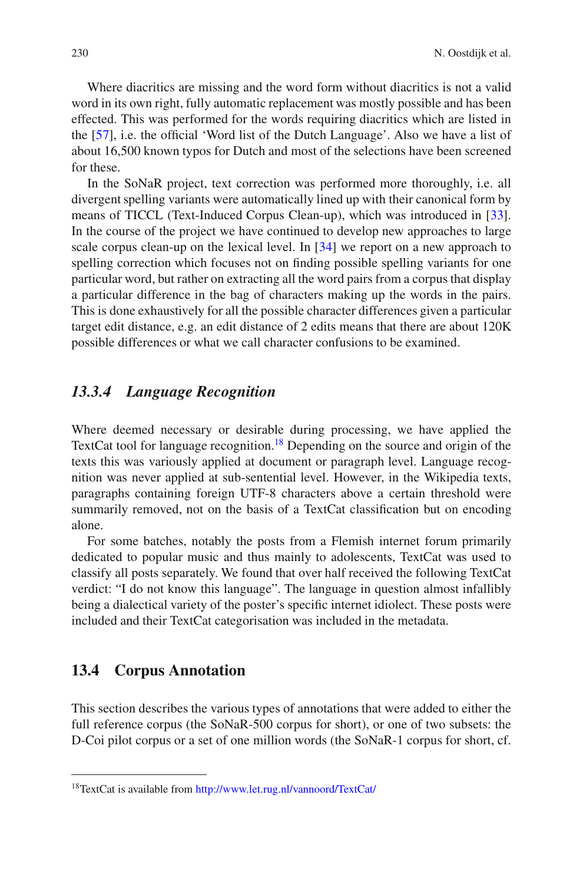Where diacritics are missing and the word form without diacritics is not a valid word in its own right, fully automatic replacement was mostly possible and has been effected. This was performed for the words requiring diacritics which are listed in the [\[57](#page-28-0)], i.e. the official 'Word list of the Dutch Language'. Also we have a list of about 16,500 known typos for Dutch and most of the selections have been screened for these.

In the SoNaR project, text correction was performed more thoroughly, i.e. all divergent spelling variants were automatically lined up with their canonical form by means of TICCL (Text-Induced Corpus Clean-up), which was introduced in [\[33\]](#page-27-4). In the course of the project we have continued to develop new approaches to large scale corpus clean-up on the lexical level. In [\[34\]](#page-27-5) we report on a new approach to spelling correction which focuses not on finding possible spelling variants for one particular word, but rather on extracting all the word pairs from a corpus that display a particular difference in the bag of characters making up the words in the pairs. This is done exhaustively for all the possible character differences given a particular target edit distance, e.g. an edit distance of 2 edits means that there are about 120K possible differences or what we call character confusions to be examined.

# *13.3.4 Language Recognition*

Where deemed necessary or desirable during processing, we have applied the TextCat tool for language recognition.<sup>18</sup> Depending on the source and origin of the texts this was variously applied at document or paragraph level. Language recognition was never applied at sub-sentential level. However, in the Wikipedia texts, paragraphs containing foreign UTF-8 characters above a certain threshold were summarily removed, not on the basis of a TextCat classification but on encoding alone.

For some batches, notably the posts from a Flemish internet forum primarily dedicated to popular music and thus mainly to adolescents, TextCat was used to classify all posts separately. We found that over half received the following TextCat verdict: "I do not know this language". The language in question almost infallibly being a dialectical variety of the poster's specific internet idiolect. These posts were included and their TextCat categorisation was included in the metadata.

# <span id="page-11-0"></span>**13.4 Corpus Annotation**

This section describes the various types of annotations that were added to either the full reference corpus (the SoNaR-500 corpus for short), or one of two subsets: the D-Coi pilot corpus or a set of one million words (the SoNaR-1 corpus for short, cf.

<span id="page-11-1"></span><sup>18</sup>TextCat is available from <http://www.let.rug.nl/vannoord/TextCat/>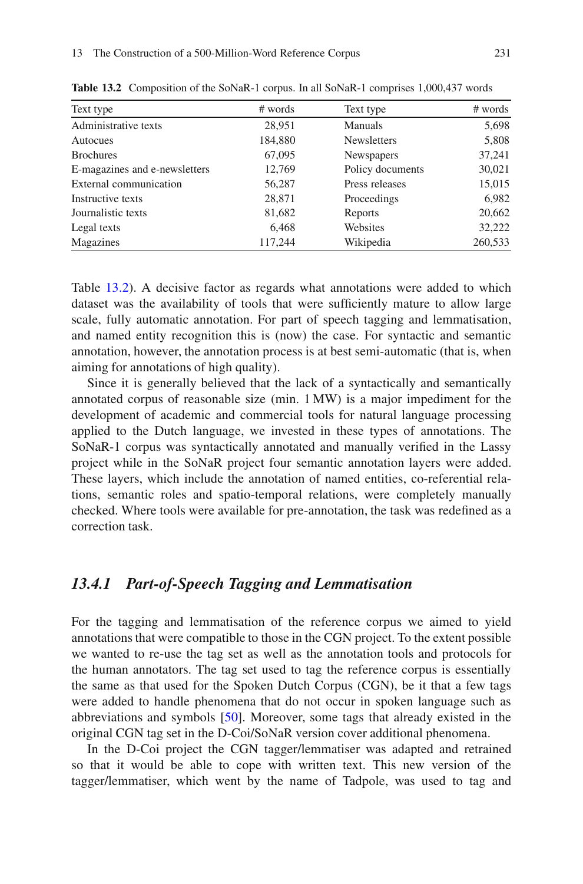<span id="page-12-0"></span>

| Text type                     | # words | Text type          | # words |
|-------------------------------|---------|--------------------|---------|
| Administrative texts          | 28,951  | <b>Manuals</b>     | 5,698   |
| Autocues                      | 184,880 | <b>Newsletters</b> | 5,808   |
| <b>Brochures</b>              | 67,095  | <b>Newspapers</b>  | 37,241  |
| E-magazines and e-newsletters | 12,769  | Policy documents   | 30,021  |
| External communication        | 56,287  | Press releases     | 15,015  |
| Instructive texts             | 28,871  | Proceedings        | 6,982   |
| Journalistic texts            | 81,682  | Reports            | 20,662  |
| Legal texts                   | 6,468   | Websites           | 32,222  |
| Magazines                     | 117,244 | Wikipedia          | 260,533 |

**Table 13.2** Composition of the SoNaR-1 corpus. In all SoNaR-1 comprises 1,000,437 words

Table [13.2\)](#page-12-0). A decisive factor as regards what annotations were added to which dataset was the availability of tools that were sufficiently mature to allow large scale, fully automatic annotation. For part of speech tagging and lemmatisation, and named entity recognition this is (now) the case. For syntactic and semantic annotation, however, the annotation process is at best semi-automatic (that is, when aiming for annotations of high quality).

Since it is generally believed that the lack of a syntactically and semantically annotated corpus of reasonable size (min. 1 MW) is a major impediment for the development of academic and commercial tools for natural language processing applied to the Dutch language, we invested in these types of annotations. The SoNaR-1 corpus was syntactically annotated and manually verified in the Lassy project while in the SoNaR project four semantic annotation layers were added. These layers, which include the annotation of named entities, co-referential relations, semantic roles and spatio-temporal relations, were completely manually checked. Where tools were available for pre-annotation, the task was redefined as a correction task.

# *13.4.1 Part-of-Speech Tagging and Lemmatisation*

For the tagging and lemmatisation of the reference corpus we aimed to yield annotations that were compatible to those in the CGN project. To the extent possible we wanted to re-use the tag set as well as the annotation tools and protocols for the human annotators. The tag set used to tag the reference corpus is essentially the same as that used for the Spoken Dutch Corpus (CGN), be it that a few tags were added to handle phenomena that do not occur in spoken language such as abbreviations and symbols [\[50\]](#page-28-1). Moreover, some tags that already existed in the original CGN tag set in the D-Coi/SoNaR version cover additional phenomena.

In the D-Coi project the CGN tagger/lemmatiser was adapted and retrained so that it would be able to cope with written text. This new version of the tagger/lemmatiser, which went by the name of Tadpole, was used to tag and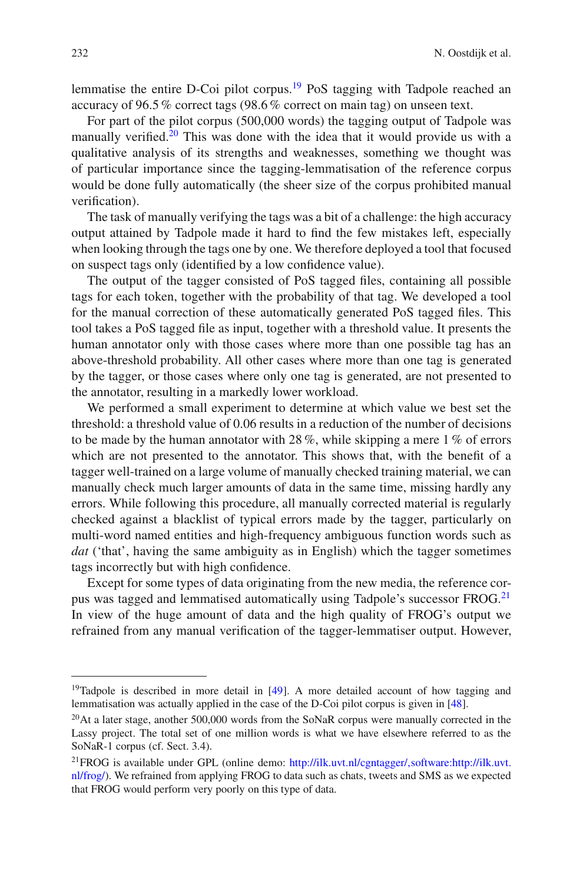lemmatise the entire D-Coi pilot corpus.<sup>[19](#page-13-0)</sup> PoS tagging with Tadpole reached an accuracy of 96.5 % correct tags (98.6 % correct on main tag) on unseen text.

For part of the pilot corpus (500,000 words) the tagging output of Tadpole was manually verified.<sup>[20](#page-13-1)</sup> This was done with the idea that it would provide us with a qualitative analysis of its strengths and weaknesses, something we thought was of particular importance since the tagging-lemmatisation of the reference corpus would be done fully automatically (the sheer size of the corpus prohibited manual verification).

The task of manually verifying the tags was a bit of a challenge: the high accuracy output attained by Tadpole made it hard to find the few mistakes left, especially when looking through the tags one by one. We therefore deployed a tool that focused on suspect tags only (identified by a low confidence value).

The output of the tagger consisted of PoS tagged files, containing all possible tags for each token, together with the probability of that tag. We developed a tool for the manual correction of these automatically generated PoS tagged files. This tool takes a PoS tagged file as input, together with a threshold value. It presents the human annotator only with those cases where more than one possible tag has an above-threshold probability. All other cases where more than one tag is generated by the tagger, or those cases where only one tag is generated, are not presented to the annotator, resulting in a markedly lower workload.

We performed a small experiment to determine at which value we best set the threshold: a threshold value of 0.06 results in a reduction of the number of decisions to be made by the human annotator with 28 %, while skipping a mere 1 % of errors which are not presented to the annotator. This shows that, with the benefit of a tagger well-trained on a large volume of manually checked training material, we can manually check much larger amounts of data in the same time, missing hardly any errors. While following this procedure, all manually corrected material is regularly checked against a blacklist of typical errors made by the tagger, particularly on multi-word named entities and high-frequency ambiguous function words such as *dat* ('that', having the same ambiguity as in English) which the tagger sometimes tags incorrectly but with high confidence.

Except for some types of data originating from the new media, the reference cor-pus was tagged and lemmatised automatically using Tadpole's successor FROG.<sup>[21](#page-13-2)</sup> In view of the huge amount of data and the high quality of FROG's output we refrained from any manual verification of the tagger-lemmatiser output. However,

<span id="page-13-0"></span> $19$ Tadpole is described in more detail in [\[49](#page-27-6)]. A more detailed account of how tagging and lemmatisation was actually applied in the case of the D-Coi pilot corpus is given in [\[48](#page-27-7)].

<span id="page-13-1"></span> $20$ At a later stage, another 500,000 words from the SoNaR corpus were manually corrected in the Lassy project. The total set of one million words is what we have elsewhere referred to as the SoNaR-1 corpus (cf. Sect. 3.4).

<span id="page-13-2"></span><sup>21</sup>FROG is available under GPL (online demo: [http://ilk.uvt.nl/cgntagger/,software:http://ilk.uvt.](http://ilk.uvt.nl/cgntagger/, software: http://ilk.uvt.nl/frog/) [nl/frog/\)](http://ilk.uvt.nl/cgntagger/, software: http://ilk.uvt.nl/frog/). We refrained from applying FROG to data such as chats, tweets and SMS as we expected that FROG would perform very poorly on this type of data.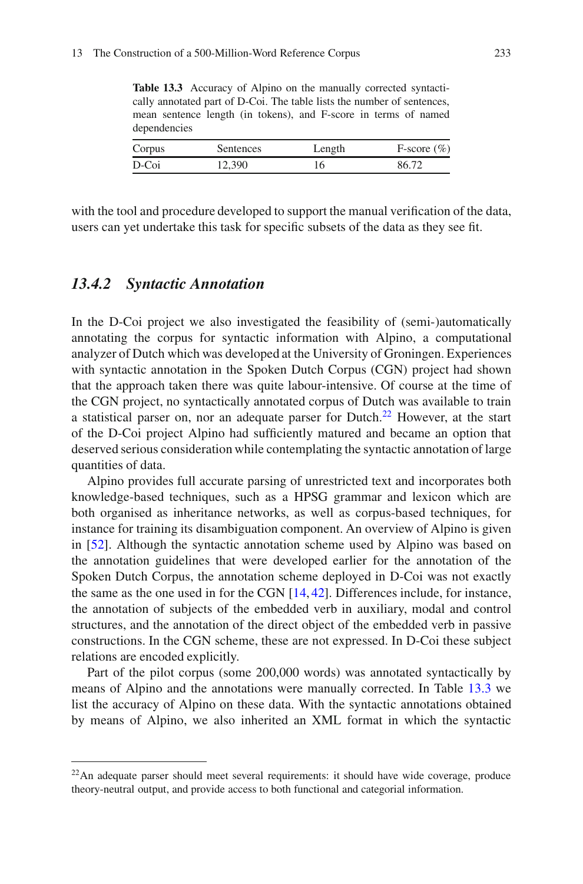<span id="page-14-1"></span>Table 13.3 Accuracy of Alpino on the manually corrected syntactically annotated part of D-Coi. The table lists the number of sentences, mean sentence length (in tokens), and F-score in terms of named dependencies

| Corpus | Sentences | Length | F-score $(\% )$ |
|--------|-----------|--------|-----------------|
| D-Coi  | 12,390    | 16     | 86.72           |

with the tool and procedure developed to support the manual verification of the data, users can yet undertake this task for specific subsets of the data as they see fit.

# *13.4.2 Syntactic Annotation*

In the D-Coi project we also investigated the feasibility of (semi-)automatically annotating the corpus for syntactic information with Alpino, a computational analyzer of Dutch which was developed at the University of Groningen. Experiences with syntactic annotation in the Spoken Dutch Corpus (CGN) project had shown that the approach taken there was quite labour-intensive. Of course at the time of the CGN project, no syntactically annotated corpus of Dutch was available to train a statistical parser on, nor an adequate parser for Dutch.<sup>[22](#page-14-0)</sup> However, at the start of the D-Coi project Alpino had sufficiently matured and became an option that deserved serious consideration while contemplating the syntactic annotation of large quantities of data.

Alpino provides full accurate parsing of unrestricted text and incorporates both knowledge-based techniques, such as a HPSG grammar and lexicon which are both organised as inheritance networks, as well as corpus-based techniques, for instance for training its disambiguation component. An overview of Alpino is given in [\[52\]](#page-28-2). Although the syntactic annotation scheme used by Alpino was based on the annotation guidelines that were developed earlier for the annotation of the Spoken Dutch Corpus, the annotation scheme deployed in D-Coi was not exactly the same as the one used in for the CGN [\[14](#page-26-5), [42\]](#page-27-8). Differences include, for instance, the annotation of subjects of the embedded verb in auxiliary, modal and control structures, and the annotation of the direct object of the embedded verb in passive constructions. In the CGN scheme, these are not expressed. In D-Coi these subject relations are encoded explicitly.

Part of the pilot corpus (some 200,000 words) was annotated syntactically by means of Alpino and the annotations were manually corrected. In Table [13.3](#page-14-1) we list the accuracy of Alpino on these data. With the syntactic annotations obtained by means of Alpino, we also inherited an XML format in which the syntactic

<span id="page-14-0"></span> $22$ An adequate parser should meet several requirements: it should have wide coverage, produce theory-neutral output, and provide access to both functional and categorial information.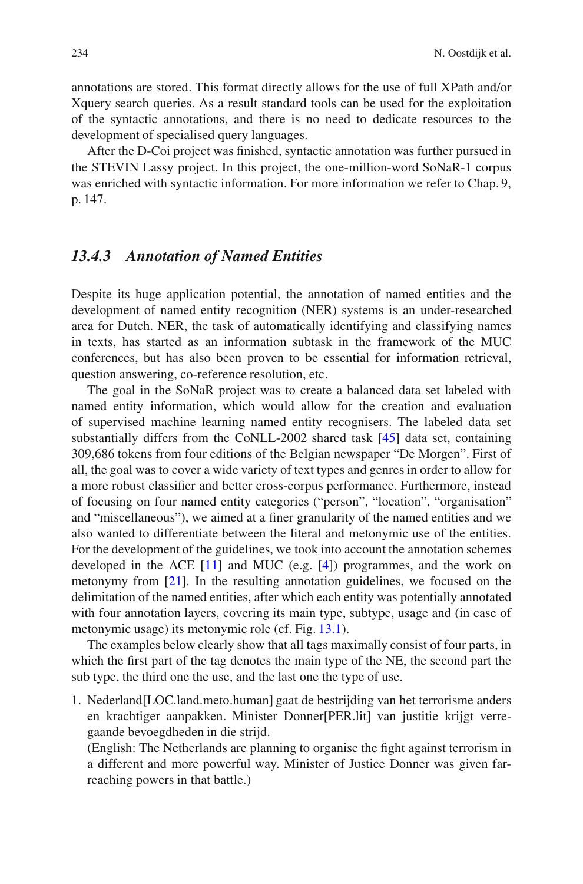annotations are stored. This format directly allows for the use of full XPath and/or Xquery search queries. As a result standard tools can be used for the exploitation of the syntactic annotations, and there is no need to dedicate resources to the development of specialised query languages.

After the D-Coi project was finished, syntactic annotation was further pursued in the STEVIN Lassy project. In this project, the one-million-word SoNaR-1 corpus was enriched with syntactic information. For more information we refer to Chap. 9, p. 147.

# *13.4.3 Annotation of Named Entities*

Despite its huge application potential, the annotation of named entities and the development of named entity recognition (NER) systems is an under-researched area for Dutch. NER, the task of automatically identifying and classifying names in texts, has started as an information subtask in the framework of the MUC conferences, but has also been proven to be essential for information retrieval, question answering, co-reference resolution, etc.

The goal in the SoNaR project was to create a balanced data set labeled with named entity information, which would allow for the creation and evaluation of supervised machine learning named entity recognisers. The labeled data set substantially differs from the CoNLL-2002 shared task [\[45](#page-27-9)] data set, containing 309,686 tokens from four editions of the Belgian newspaper "De Morgen". First of all, the goal was to cover a wide variety of text types and genres in order to allow for a more robust classifier and better cross-corpus performance. Furthermore, instead of focusing on four named entity categories ("person", "location", "organisation" and "miscellaneous"), we aimed at a finer granularity of the named entities and we also wanted to differentiate between the literal and metonymic use of the entities. For the development of the guidelines, we took into account the annotation schemes developed in the ACE  $[11]$  and MUC (e.g.  $[4]$  $[4]$ ) programmes, and the work on metonymy from [\[21](#page-26-7)]. In the resulting annotation guidelines, we focused on the delimitation of the named entities, after which each entity was potentially annotated with four annotation layers, covering its main type, subtype, usage and (in case of metonymic usage) its metonymic role (cf. Fig. [13.1\)](#page-16-0).

The examples below clearly show that all tags maximally consist of four parts, in which the first part of the tag denotes the main type of the NE, the second part the sub type, the third one the use, and the last one the type of use.

1. Nederland[LOC.land.meto.human] gaat de bestrijding van het terrorisme anders en krachtiger aanpakken. Minister Donner[PER.lit] van justitie krijgt verregaande bevoegdheden in die strijd.

(English: The Netherlands are planning to organise the fight against terrorism in a different and more powerful way. Minister of Justice Donner was given farreaching powers in that battle.)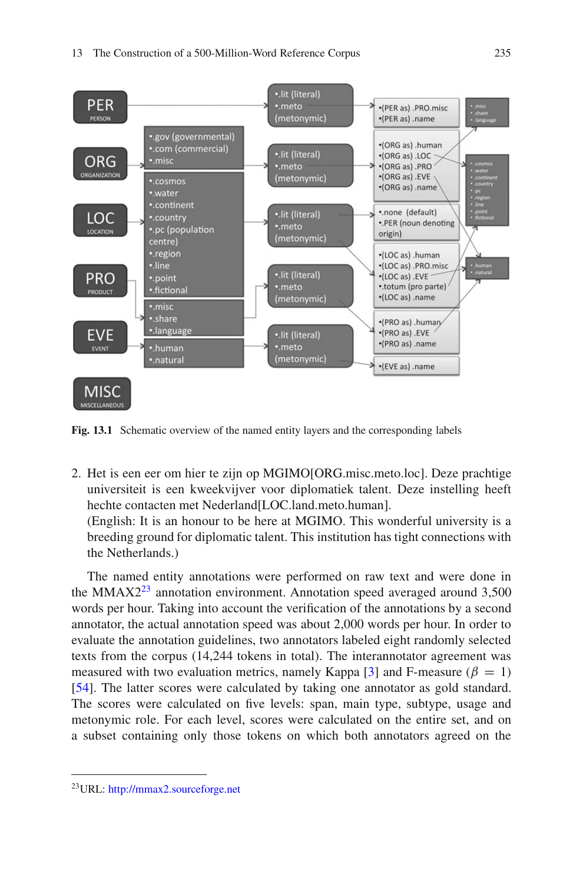

<span id="page-16-0"></span>**Fig. 13.1** Schematic overview of the named entity layers and the corresponding labels

2. Het is een eer om hier te zijn op MGIMO[ORG.misc.meto.loc]. Deze prachtige universiteit is een kweekvijver voor diplomatiek talent. Deze instelling heeft hechte contacten met Nederland[LOC.land.meto.human]. (English: It is an honour to be here at MGIMO. This wonderful university is a breeding ground for diplomatic talent. This institution has tight connections with the Netherlands.)

The named entity annotations were performed on raw text and were done in the MMAX $2^{23}$  $2^{23}$  $2^{23}$  annotation environment. Annotation speed averaged around 3,500 words per hour. Taking into account the verification of the annotations by a second annotator, the actual annotation speed was about 2,000 words per hour. In order to evaluate the annotation guidelines, two annotators labeled eight randomly selected texts from the corpus (14,244 tokens in total). The interannotator agreement was measured with two evaluation metrics, namely Kappa [\[3\]](#page-25-6) and F-measure ( $\beta = 1$ ) [\[54](#page-28-3)]. The latter scores were calculated by taking one annotator as gold standard. The scores were calculated on five levels: span, main type, subtype, usage and metonymic role. For each level, scores were calculated on the entire set, and on a subset containing only those tokens on which both annotators agreed on the

<span id="page-16-1"></span><sup>23</sup>URL: <http://mmax2.sourceforge.net>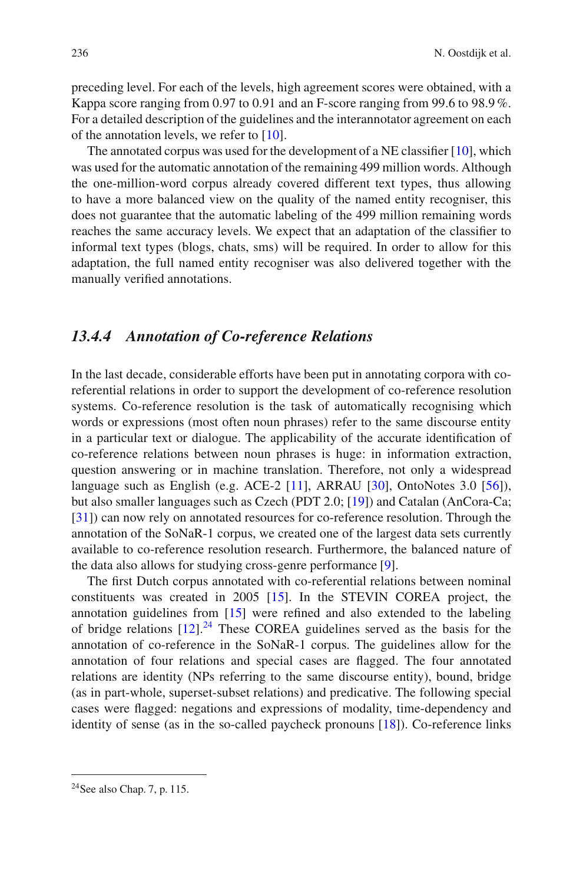preceding level. For each of the levels, high agreement scores were obtained, with a Kappa score ranging from 0.97 to 0.91 and an F-score ranging from 99.6 to 98.9 %. For a detailed description of the guidelines and the interannotator agreement on each of the annotation levels, we refer to [\[10\]](#page-26-8).

The annotated corpus was used for the development of a NE classifier [\[10\]](#page-26-8), which was used for the automatic annotation of the remaining 499 million words. Although the one-million-word corpus already covered different text types, thus allowing to have a more balanced view on the quality of the named entity recogniser, this does not guarantee that the automatic labeling of the 499 million remaining words reaches the same accuracy levels. We expect that an adaptation of the classifier to informal text types (blogs, chats, sms) will be required. In order to allow for this adaptation, the full named entity recogniser was also delivered together with the manually verified annotations.

# *13.4.4 Annotation of Co-reference Relations*

In the last decade, considerable efforts have been put in annotating corpora with coreferential relations in order to support the development of co-reference resolution systems. Co-reference resolution is the task of automatically recognising which words or expressions (most often noun phrases) refer to the same discourse entity in a particular text or dialogue. The applicability of the accurate identification of co-reference relations between noun phrases is huge: in information extraction, question answering or in machine translation. Therefore, not only a widespread language such as English (e.g. ACE-2 [\[11\]](#page-26-6), ARRAU [\[30](#page-26-9)], OntoNotes 3.0 [\[56\]](#page-28-4)), but also smaller languages such as Czech (PDT 2.0; [\[19\]](#page-26-10)) and Catalan (AnCora-Ca; [\[31](#page-26-11)]) can now rely on annotated resources for co-reference resolution. Through the annotation of the SoNaR-1 corpus, we created one of the largest data sets currently available to co-reference resolution research. Furthermore, the balanced nature of the data also allows for studying cross-genre performance [\[9\]](#page-25-7).

The first Dutch corpus annotated with co-referential relations between nominal constituents was created in 2005 [\[15\]](#page-26-12). In the STEVIN COREA project, the annotation guidelines from [\[15\]](#page-26-12) were refined and also extended to the labeling of bridge relations  $[12]$  $[12]$ .<sup>[24](#page-17-0)</sup> These COREA guidelines served as the basis for the annotation of co-reference in the SoNaR-1 corpus. The guidelines allow for the annotation of four relations and special cases are flagged. The four annotated relations are identity (NPs referring to the same discourse entity), bound, bridge (as in part-whole, superset-subset relations) and predicative. The following special cases were flagged: negations and expressions of modality, time-dependency and identity of sense (as in the so-called paycheck pronouns [\[18\]](#page-26-14)). Co-reference links

<span id="page-17-0"></span> $24$ See also Chap. 7, p. 115.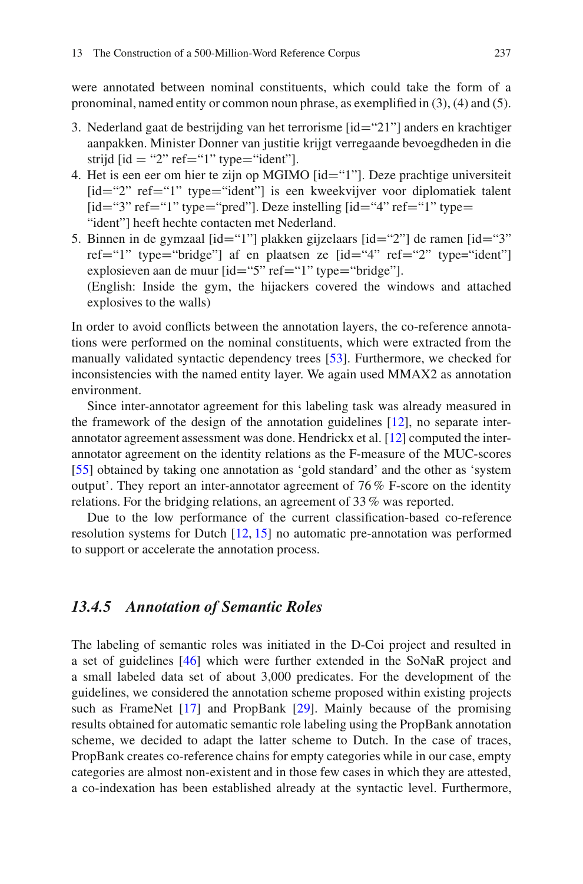were annotated between nominal constituents, which could take the form of a pronominal, named entity or common noun phrase, as exemplified in (3), (4) and (5).

- 3. Nederland gaat de bestrijding van het terrorisme  $\lceil id="21 \rceil \rceil$  anders en krachtiger aanpakken. Minister Donner van justitie krijgt verregaande bevoegdheden in die strijd  $\text{Id} = "2" \text{ ref}=" "1" \text{ type}="ident".$
- 4. Het is een eer om hier te zijn op MGIMO  $\text{Id} = \text{I}$ "1". Deze prachtige universiteit  $\text{fid} = 2$ " ref $=$ "1" type $=$ "ident"] is een kweekvijver voor diplomatiek talent  $_id = "3" ref = "1" type = "pred"$ . Deze instelling  $_id = "4" ref = "1" type =$ "ident"] heeft hechte contacten met Nederland.
- 5. Binnen in de gymzaal  $(id="1"]$  plakken gijzelaars  $(id="2"]$  de ramen  $(id="3"$ ref="1" type="bridge"] af en plaatsen ze  $(id="4" ref="2" type="ident"$ explosieven aan de muur  $(id="5" ref="1" type="bridge".$ (English: Inside the gym, the hijackers covered the windows and attached explosives to the walls)

In order to avoid conflicts between the annotation layers, the co-reference annotations were performed on the nominal constituents, which were extracted from the manually validated syntactic dependency trees [\[53\]](#page-28-5). Furthermore, we checked for inconsistencies with the named entity layer. We again used MMAX2 as annotation environment.

Since inter-annotator agreement for this labeling task was already measured in the framework of the design of the annotation guidelines [\[12\]](#page-26-13), no separate interannotator agreement assessment was done. Hendrickx et al. [\[12](#page-26-13)] computed the interannotator agreement on the identity relations as the F-measure of the MUC-scores [\[55](#page-28-6)] obtained by taking one annotation as 'gold standard' and the other as 'system output'. They report an inter-annotator agreement of 76 % F-score on the identity relations. For the bridging relations, an agreement of 33 % was reported.

Due to the low performance of the current classification-based co-reference resolution systems for Dutch [\[12,](#page-26-13) [15\]](#page-26-12) no automatic pre-annotation was performed to support or accelerate the annotation process.

# *13.4.5 Annotation of Semantic Roles*

The labeling of semantic roles was initiated in the D-Coi project and resulted in a set of guidelines [\[46](#page-27-10)] which were further extended in the SoNaR project and a small labeled data set of about 3,000 predicates. For the development of the guidelines, we considered the annotation scheme proposed within existing projects such as FrameNet [\[17](#page-26-15)] and PropBank [\[29\]](#page-26-16). Mainly because of the promising results obtained for automatic semantic role labeling using the PropBank annotation scheme, we decided to adapt the latter scheme to Dutch. In the case of traces, PropBank creates co-reference chains for empty categories while in our case, empty categories are almost non-existent and in those few cases in which they are attested, a co-indexation has been established already at the syntactic level. Furthermore,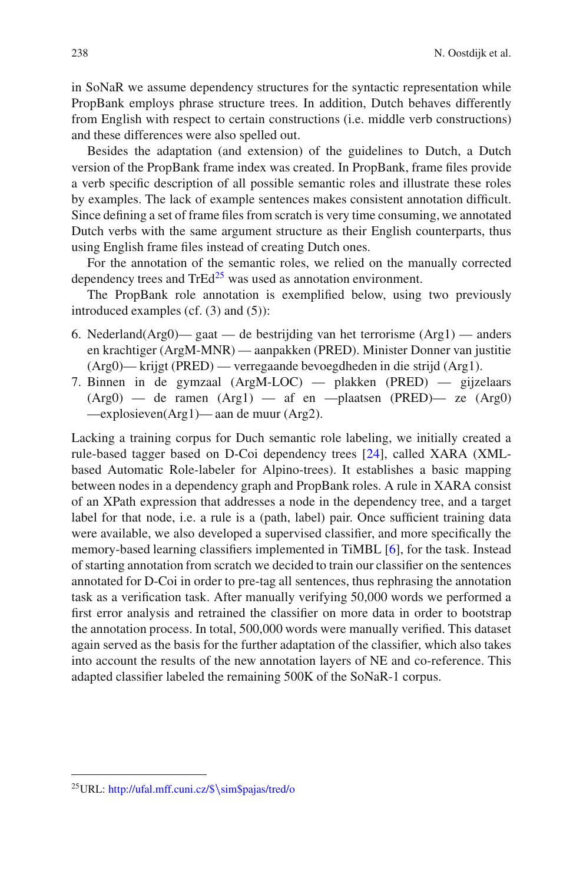in SoNaR we assume dependency structures for the syntactic representation while PropBank employs phrase structure trees. In addition, Dutch behaves differently from English with respect to certain constructions (i.e. middle verb constructions) and these differences were also spelled out.

Besides the adaptation (and extension) of the guidelines to Dutch, a Dutch version of the PropBank frame index was created. In PropBank, frame files provide a verb specific description of all possible semantic roles and illustrate these roles by examples. The lack of example sentences makes consistent annotation difficult. Since defining a set of frame files from scratch is very time consuming, we annotated Dutch verbs with the same argument structure as their English counterparts, thus using English frame files instead of creating Dutch ones.

For the annotation of the semantic roles, we relied on the manually corrected dependency trees and  $TrEd^{25}$  $TrEd^{25}$  $TrEd^{25}$  was used as annotation environment.

The PropBank role annotation is exemplified below, using two previously introduced examples (cf. (3) and (5)):

- 6. Nederland(Arg0)— gaat de bestrijding van het terrorisme (Arg1) anders en krachtiger (ArgM-MNR) — aanpakken (PRED). Minister Donner van justitie (Arg0)— krijgt (PRED) — verregaande bevoegdheden in die strijd (Arg1).
- 7. Binnen in de gymzaal (ArgM-LOC) plakken (PRED) gijzelaars (Arg0) — de ramen (Arg1) — af en —plaatsen (PRED)— ze (Arg0) —explosieven(Arg1)— aan de muur (Arg2).

Lacking a training corpus for Duch semantic role labeling, we initially created a rule-based tagger based on D-Coi dependency trees [\[24\]](#page-26-17), called XARA (XMLbased Automatic Role-labeler for Alpino-trees). It establishes a basic mapping between nodes in a dependency graph and PropBank roles. A rule in XARA consist of an XPath expression that addresses a node in the dependency tree, and a target label for that node, i.e. a rule is a (path, label) pair. Once sufficient training data were available, we also developed a supervised classifier, and more specifically the memory-based learning classifiers implemented in TiMBL [\[6\]](#page-25-8), for the task. Instead of starting annotation from scratch we decided to train our classifier on the sentences annotated for D-Coi in order to pre-tag all sentences, thus rephrasing the annotation task as a verification task. After manually verifying 50,000 words we performed a first error analysis and retrained the classifier on more data in order to bootstrap the annotation process. In total, 500,000 words were manually verified. This dataset again served as the basis for the further adaptation of the classifier, which also takes into account the results of the new annotation layers of NE and co-reference. This adapted classifier labeled the remaining 500K of the SoNaR-1 corpus.

<span id="page-19-0"></span> $^{25}$ URL: [http://ufal.mff.cuni.cz/\\$](http://ufal.mff.cuni.cz/$sim $pajas/tred/o)\sim\$pajas/tred/o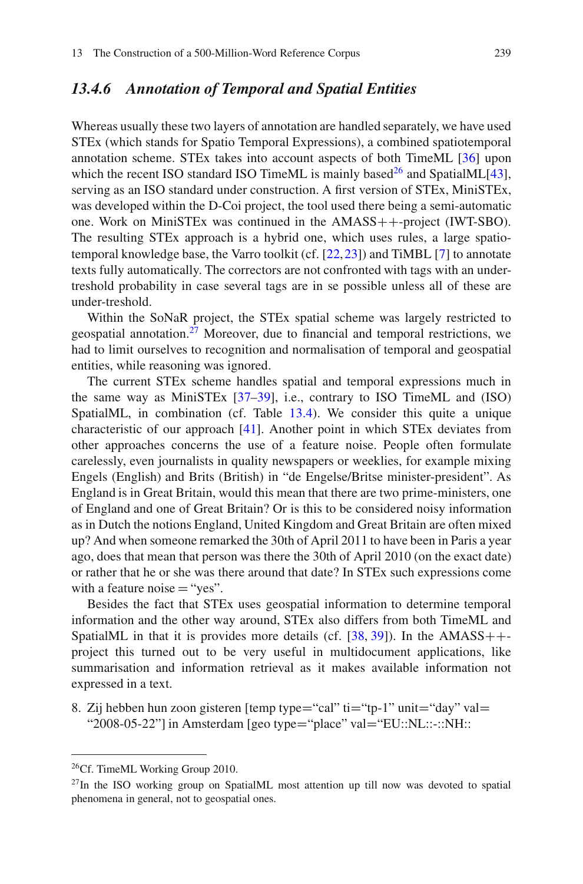# *13.4.6 Annotation of Temporal and Spatial Entities*

Whereas usually these two layers of annotation are handled separately, we have used STEx (which stands for Spatio Temporal Expressions), a combined spatiotemporal annotation scheme. STEx takes into account aspects of both TimeML [\[36\]](#page-27-11) upon which the recent ISO standard ISO TimeML is mainly based<sup>[26](#page-20-0)</sup> and SpatialML[\[43\]](#page-27-12), serving as an ISO standard under construction. A first version of STEx, MiniSTEx, was developed within the D-Coi project, the tool used there being a semi-automatic one. Work on MiniSTEx was continued in the  $AMASS++$ -project (IWT-SBO). The resulting STEx approach is a hybrid one, which uses rules, a large spatiotemporal knowledge base, the Varro toolkit (cf. [\[22](#page-26-18),[23\]](#page-26-19)) and TiMBL [\[7](#page-25-9)] to annotate texts fully automatically. The correctors are not confronted with tags with an undertreshold probability in case several tags are in se possible unless all of these are under-treshold.

Within the SoNaR project, the STEx spatial scheme was largely restricted to geospatial annotation.<sup>[27](#page-20-1)</sup> Moreover, due to financial and temporal restrictions, we had to limit ourselves to recognition and normalisation of temporal and geospatial entities, while reasoning was ignored.

The current STEx scheme handles spatial and temporal expressions much in the same way as MiniSTEx [\[37](#page-27-13)[–39](#page-27-14)], i.e., contrary to ISO TimeML and (ISO) SpatialML, in combination (cf. Table [13.4\)](#page-21-0). We consider this quite a unique characteristic of our approach [\[41\]](#page-27-15). Another point in which STEx deviates from other approaches concerns the use of a feature noise. People often formulate carelessly, even journalists in quality newspapers or weeklies, for example mixing Engels (English) and Brits (British) in "de Engelse/Britse minister-president". As England is in Great Britain, would this mean that there are two prime-ministers, one of England and one of Great Britain? Or is this to be considered noisy information as in Dutch the notions England, United Kingdom and Great Britain are often mixed up? And when someone remarked the 30th of April 2011 to have been in Paris a year ago, does that mean that person was there the 30th of April 2010 (on the exact date) or rather that he or she was there around that date? In STEx such expressions come with a feature noise  $=$  "yes".

Besides the fact that STEx uses geospatial information to determine temporal information and the other way around, STEx also differs from both TimeML and SpatialML in that it is provides more details (cf.  $[38, 39]$  $[38, 39]$  $[38, 39]$ ). In the AMASS++project this turned out to be very useful in multidocument applications, like summarisation and information retrieval as it makes available information not expressed in a text.

8. Zij hebben hun zoon gisteren [temp type="cal" ti="tp-1" unit="day" val= "2008-05-22"] in Amsterdam [geo type="place" val="EU::NL::-::NH::

<sup>26</sup>Cf. TimeML Working Group 2010.

<span id="page-20-1"></span><span id="page-20-0"></span><sup>&</sup>lt;sup>27</sup>In the ISO working group on SpatialML most attention up till now was devoted to spatial phenomena in general, not to geospatial ones.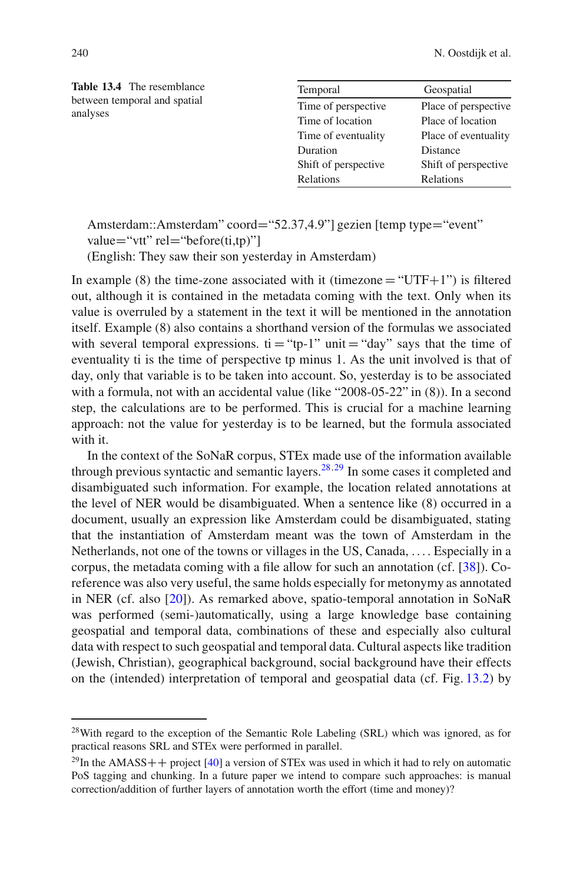<span id="page-21-0"></span>

|          | <b>Table 13.4</b> The resemblance |
|----------|-----------------------------------|
|          | between temporal and spatial      |
| analyses |                                   |

| Temporal             | Geospatial           |  |  |
|----------------------|----------------------|--|--|
| Time of perspective  | Place of perspective |  |  |
| Time of location     | Place of location    |  |  |
| Time of eventuality  | Place of eventuality |  |  |
| Duration             | Distance             |  |  |
| Shift of perspective | Shift of perspective |  |  |
| Relations            | Relations            |  |  |

Amsterdam::Amsterdam" coord="52.37,4.9"] gezien [temp type="event" value="vtt" rel="before $(it, tp)$ "]

(English: They saw their son yesterday in Amsterdam)

In example (8) the time-zone associated with it (timezone  $=$  "UTF+1") is filtered out, although it is contained in the metadata coming with the text. Only when its value is overruled by a statement in the text it will be mentioned in the annotation itself. Example (8) also contains a shorthand version of the formulas we associated with several temporal expressions.  $t =$  "tp-1" unit  $=$  "day" says that the time of eventuality ti is the time of perspective tp minus 1. As the unit involved is that of day, only that variable is to be taken into account. So, yesterday is to be associated with a formula, not with an accidental value (like "2008-05-22" in (8)). In a second step, the calculations are to be performed. This is crucial for a machine learning approach: not the value for yesterday is to be learned, but the formula associated with it.

In the context of the SoNaR corpus, STEx made use of the information available through previous syntactic and semantic layers.<sup>28,[29](#page-21-2)</sup> In some cases it completed and disambiguated such information. For example, the location related annotations at the level of NER would be disambiguated. When a sentence like (8) occurred in a document, usually an expression like Amsterdam could be disambiguated, stating that the instantiation of Amsterdam meant was the town of Amsterdam in the Netherlands, not one of the towns or villages in the US, Canada, .... Especially in a corpus, the metadata coming with a file allow for such an annotation (cf. [\[38\]](#page-27-16)). Coreference was also very useful, the same holds especially for metonymy as annotated in NER (cf. also [\[20\]](#page-26-20)). As remarked above, spatio-temporal annotation in SoNaR was performed (semi-)automatically, using a large knowledge base containing geospatial and temporal data, combinations of these and especially also cultural data with respect to such geospatial and temporal data. Cultural aspects like tradition (Jewish, Christian), geographical background, social background have their effects on the (intended) interpretation of temporal and geospatial data (cf. Fig. [13.2\)](#page-22-0) by

<span id="page-21-1"></span><sup>28</sup>With regard to the exception of the Semantic Role Labeling (SRL) which was ignored, as for practical reasons SRL and STEx were performed in parallel.

<span id="page-21-2"></span><sup>&</sup>lt;sup>29</sup>In the AMASS++ project [\[40](#page-27-17)] a version of STEx was used in which it had to rely on automatic PoS tagging and chunking. In a future paper we intend to compare such approaches: is manual correction/addition of further layers of annotation worth the effort (time and money)?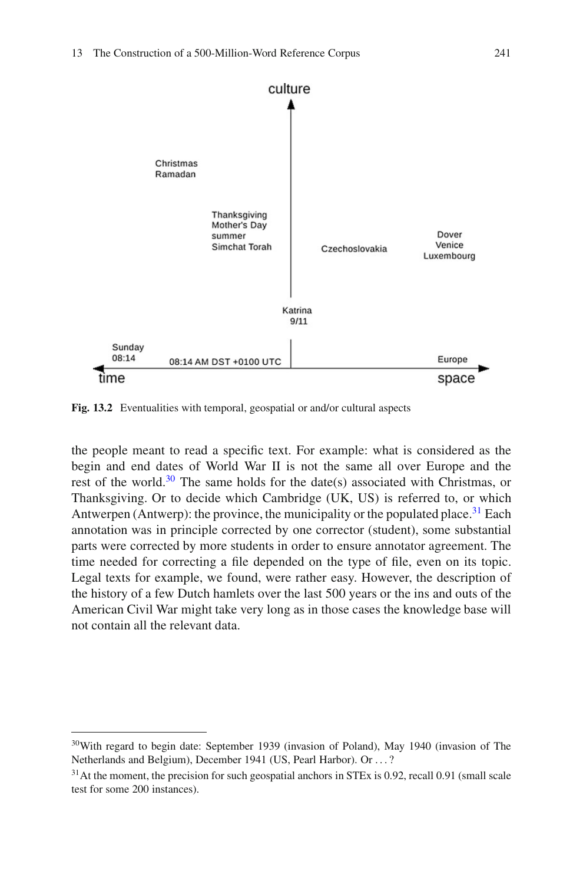

<span id="page-22-0"></span>**Fig. 13.2** Eventualities with temporal, geospatial or and/or cultural aspects

the people meant to read a specific text. For example: what is considered as the begin and end dates of World War II is not the same all over Europe and the rest of the world.<sup>[30](#page-22-1)</sup> The same holds for the date(s) associated with Christmas, or Thanksgiving. Or to decide which Cambridge (UK, US) is referred to, or which Antwerpen (Antwerp): the province, the municipality or the populated place.<sup>[31](#page-22-2)</sup> Each annotation was in principle corrected by one corrector (student), some substantial parts were corrected by more students in order to ensure annotator agreement. The time needed for correcting a file depended on the type of file, even on its topic. Legal texts for example, we found, were rather easy. However, the description of the history of a few Dutch hamlets over the last 500 years or the ins and outs of the American Civil War might take very long as in those cases the knowledge base will not contain all the relevant data.

<span id="page-22-1"></span><sup>30</sup>With regard to begin date: September 1939 (invasion of Poland), May 1940 (invasion of The Netherlands and Belgium), December 1941 (US, Pearl Harbor). Or ...?

<span id="page-22-2"></span><sup>&</sup>lt;sup>31</sup>At the moment, the precision for such geospatial anchors in STEx is 0.92, recall 0.91 (small scale test for some 200 instances).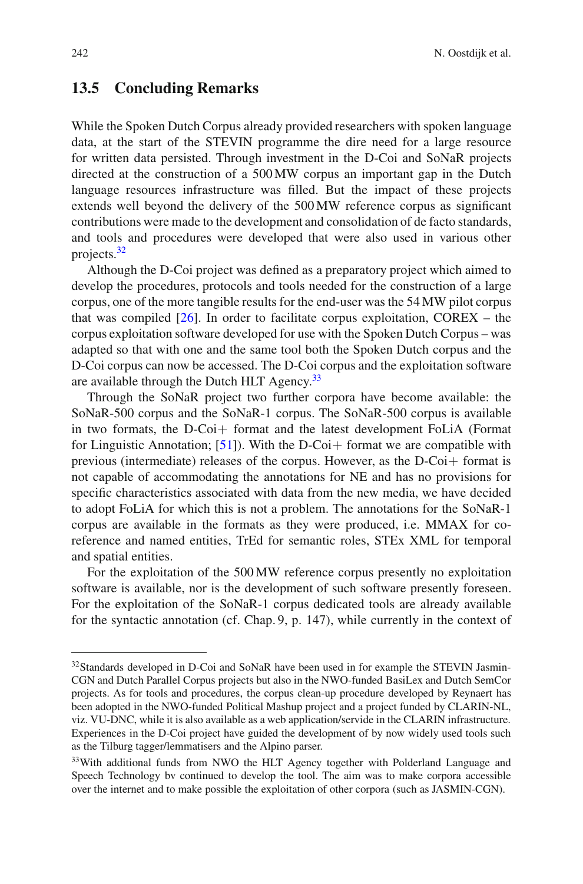# <span id="page-23-0"></span>**13.5 Concluding Remarks**

While the Spoken Dutch Corpus already provided researchers with spoken language data, at the start of the STEVIN programme the dire need for a large resource for written data persisted. Through investment in the D-Coi and SoNaR projects directed at the construction of a 500 MW corpus an important gap in the Dutch language resources infrastructure was filled. But the impact of these projects extends well beyond the delivery of the 500 MW reference corpus as significant contributions were made to the development and consolidation of de facto standards, and tools and procedures were developed that were also used in various other projects.[32](#page-23-1)

Although the D-Coi project was defined as a preparatory project which aimed to develop the procedures, protocols and tools needed for the construction of a large corpus, one of the more tangible results for the end-user was the 54 MW pilot corpus that was compiled  $[26]$  $[26]$ . In order to facilitate corpus exploitation, COREX – the corpus exploitation software developed for use with the Spoken Dutch Corpus – was adapted so that with one and the same tool both the Spoken Dutch corpus and the D-Coi corpus can now be accessed. The D-Coi corpus and the exploitation software are available through the Dutch HLT Agency.<sup>[33](#page-23-2)</sup>

Through the SoNaR project two further corpora have become available: the SoNaR-500 corpus and the SoNaR-1 corpus. The SoNaR-500 corpus is available in two formats, the D-Coi+ format and the latest development FoLiA (Format for Linguistic Annotation; [\[51\]](#page-28-7)). With the D-Coi+ format we are compatible with previous (intermediate) releases of the corpus. However, as the  $D$ -Coi+ format is not capable of accommodating the annotations for NE and has no provisions for specific characteristics associated with data from the new media, we have decided to adopt FoLiA for which this is not a problem. The annotations for the SoNaR-1 corpus are available in the formats as they were produced, i.e. MMAX for coreference and named entities, TrEd for semantic roles, STEx XML for temporal and spatial entities.

For the exploitation of the 500 MW reference corpus presently no exploitation software is available, nor is the development of such software presently foreseen. For the exploitation of the SoNaR-1 corpus dedicated tools are already available for the syntactic annotation (cf. Chap. 9, p. 147), while currently in the context of

<span id="page-23-1"></span><sup>&</sup>lt;sup>32</sup>Standards developed in D-Coi and SoNaR have been used in for example the STEVIN Jasmin-CGN and Dutch Parallel Corpus projects but also in the NWO-funded BasiLex and Dutch SemCor projects. As for tools and procedures, the corpus clean-up procedure developed by Reynaert has been adopted in the NWO-funded Political Mashup project and a project funded by CLARIN-NL, viz. VU-DNC, while it is also available as a web application/servide in the CLARIN infrastructure. Experiences in the D-Coi project have guided the development of by now widely used tools such as the Tilburg tagger/lemmatisers and the Alpino parser.

<span id="page-23-2"></span><sup>&</sup>lt;sup>33</sup>With additional funds from NWO the HLT Agency together with Polderland Language and Speech Technology bv continued to develop the tool. The aim was to make corpora accessible over the internet and to make possible the exploitation of other corpora (such as JASMIN-CGN).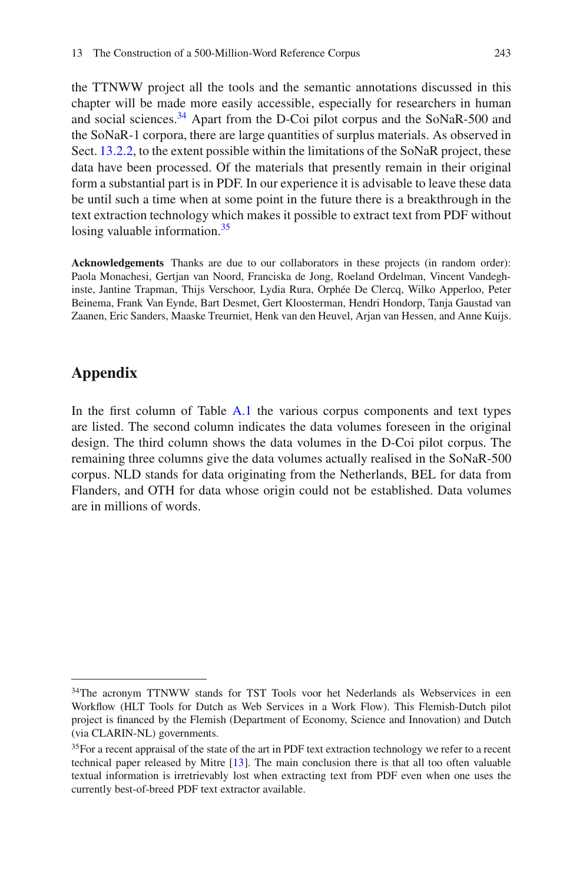the TTNWW project all the tools and the semantic annotations discussed in this chapter will be made more easily accessible, especially for researchers in human and social sciences. $34$  Apart from the D-Coi pilot corpus and the SoNaR-500 and the SoNaR-1 corpora, there are large quantities of surplus materials. As observed in Sect. [13.2.2,](#page-5-3) to the extent possible within the limitations of the SoNaR project, these data have been processed. Of the materials that presently remain in their original form a substantial part is in PDF. In our experience it is advisable to leave these data be until such a time when at some point in the future there is a breakthrough in the text extraction technology which makes it possible to extract text from PDF without losing valuable information.<sup>[35](#page-24-1)</sup>

**Acknowledgements** Thanks are due to our collaborators in these projects (in random order): Paola Monachesi, Gertjan van Noord, Franciska de Jong, Roeland Ordelman, Vincent Vandeghinste, Jantine Trapman, Thijs Verschoor, Lydia Rura, Orphee De Clercq, Wilko Apperloo, Peter ´ Beinema, Frank Van Eynde, Bart Desmet, Gert Kloosterman, Hendri Hondorp, Tanja Gaustad van Zaanen, Eric Sanders, Maaske Treurniet, Henk van den Heuvel, Arjan van Hessen, and Anne Kuijs.

# **Appendix**

In the first column of Table [A.1](#page-25-3) the various corpus components and text types are listed. The second column indicates the data volumes foreseen in the original design. The third column shows the data volumes in the D-Coi pilot corpus. The remaining three columns give the data volumes actually realised in the SoNaR-500 corpus. NLD stands for data originating from the Netherlands, BEL for data from Flanders, and OTH for data whose origin could not be established. Data volumes are in millions of words.

<span id="page-24-0"></span><sup>&</sup>lt;sup>34</sup>The acronym TTNWW stands for TST Tools voor het Nederlands als Webservices in een Workflow (HLT Tools for Dutch as Web Services in a Work Flow). This Flemish-Dutch pilot project is financed by the Flemish (Department of Economy, Science and Innovation) and Dutch (via CLARIN-NL) governments.

<span id="page-24-1"></span><sup>&</sup>lt;sup>35</sup>For a recent appraisal of the state of the art in PDF text extraction technology we refer to a recent technical paper released by Mitre [\[13](#page-26-21)]. The main conclusion there is that all too often valuable textual information is irretrievably lost when extracting text from PDF even when one uses the currently best-of-breed PDF text extractor available.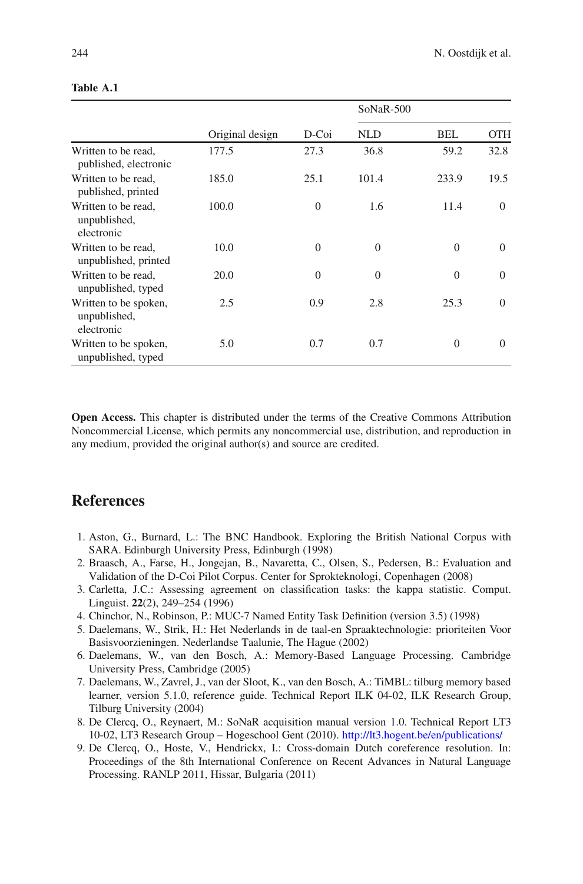<span id="page-25-3"></span>

|                                                     |                 |                | SoNaR-500 |          |            |
|-----------------------------------------------------|-----------------|----------------|-----------|----------|------------|
|                                                     | Original design | D-Coi          | NLD       | BEL      | <b>OTH</b> |
| Written to be read,<br>published, electronic        | 177.5           | 27.3           | 36.8      | 59.2     | 32.8       |
| Written to be read,<br>published, printed           | 185.0           | 25.1           | 101.4     | 233.9    | 19.5       |
| Written to be read,<br>unpublished,<br>electronic   | 100.0           | $\overline{0}$ | 1.6       | 11.4     | $\Omega$   |
| Written to be read,<br>unpublished, printed         | 10.0            | $\theta$       | $\theta$  | $\Omega$ | $\Omega$   |
| Written to be read,<br>unpublished, typed           | 20.0            | $\overline{0}$ | $\theta$  | $\Omega$ | $\Omega$   |
| Written to be spoken,<br>unpublished,<br>electronic | 2.5             | 0.9            | 2.8       | 25.3     | $\Omega$   |
| Written to be spoken,<br>unpublished, typed         | 5.0             | 0.7            | 0.7       | $\Omega$ | $\Omega$   |

#### **Table A.1**

**Open Access.** This chapter is distributed under the terms of the Creative Commons Attribution Noncommercial License, which permits any noncommercial use, distribution, and reproduction in any medium, provided the original author(s) and source are credited.

# **References**

- <span id="page-25-1"></span>1. Aston, G., Burnard, L.: The BNC Handbook. Exploring the British National Corpus with SARA. Edinburgh University Press, Edinburgh (1998)
- <span id="page-25-2"></span>2. Braasch, A., Farse, H., Jongejan, B., Navaretta, C., Olsen, S., Pedersen, B.: Evaluation and Validation of the D-Coi Pilot Corpus. Center for Sprokteknologi, Copenhagen (2008)
- <span id="page-25-6"></span>3. Carletta, J.C.: Assessing agreement on classification tasks: the kappa statistic. Comput. Linguist. **22**(2), 249–254 (1996)
- <span id="page-25-5"></span>4. Chinchor, N., Robinson, P.: MUC-7 Named Entity Task Definition (version 3.5) (1998)
- <span id="page-25-0"></span>5. Daelemans, W., Strik, H.: Het Nederlands in de taal-en Spraaktechnologie: prioriteiten Voor Basisvoorzieningen. Nederlandse Taalunie, The Hague (2002)
- <span id="page-25-8"></span>6. Daelemans, W., van den Bosch, A.: Memory-Based Language Processing. Cambridge University Press, Cambridge (2005)
- <span id="page-25-9"></span>7. Daelemans, W., Zavrel, J., van der Sloot, K., van den Bosch, A.: TiMBL: tilburg memory based learner, version 5.1.0, reference guide. Technical Report ILK 04-02, ILK Research Group, Tilburg University (2004)
- <span id="page-25-4"></span>8. De Clercq, O., Reynaert, M.: SoNaR acquisition manual version 1.0. Technical Report LT3 10-02, LT3 Research Group – Hogeschool Gent (2010). <http://lt3.hogent.be/en/publications/>
- <span id="page-25-7"></span>9. De Clercq, O., Hoste, V., Hendrickx, I.: Cross-domain Dutch coreference resolution. In: Proceedings of the 8th International Conference on Recent Advances in Natural Language Processing. RANLP 2011, Hissar, Bulgaria (2011)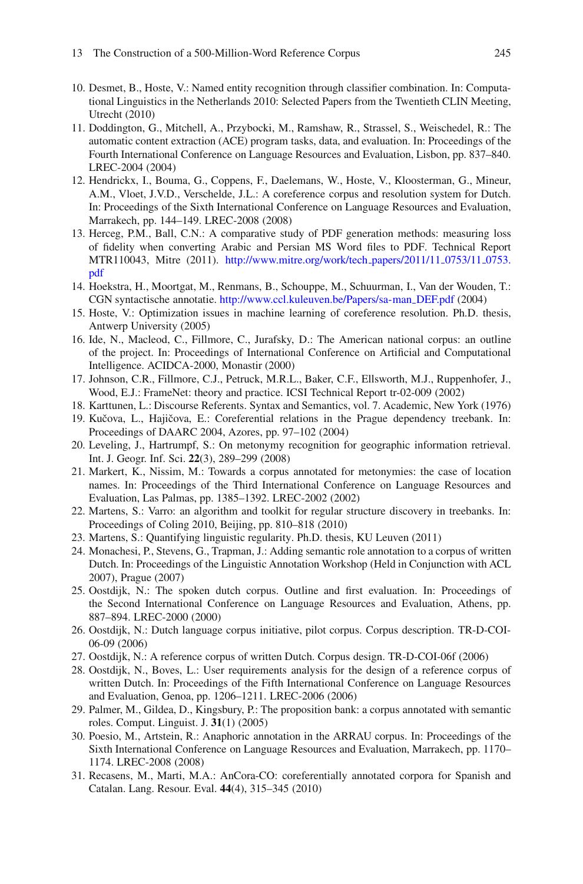- <span id="page-26-8"></span>10. Desmet, B., Hoste, V.: Named entity recognition through classifier combination. In: Computational Linguistics in the Netherlands 2010: Selected Papers from the Twentieth CLIN Meeting, Utrecht (2010)
- <span id="page-26-6"></span>11. Doddington, G., Mitchell, A., Przybocki, M., Ramshaw, R., Strassel, S., Weischedel, R.: The automatic content extraction (ACE) program tasks, data, and evaluation. In: Proceedings of the Fourth International Conference on Language Resources and Evaluation, Lisbon, pp. 837–840. LREC-2004 (2004)
- <span id="page-26-13"></span>12. Hendrickx, I., Bouma, G., Coppens, F., Daelemans, W., Hoste, V., Kloosterman, G., Mineur, A.M., Vloet, J.V.D., Verschelde, J.L.: A coreference corpus and resolution system for Dutch. In: Proceedings of the Sixth International Conference on Language Resources and Evaluation, Marrakech, pp. 144–149. LREC-2008 (2008)
- <span id="page-26-21"></span>13. Herceg, P.M., Ball, C.N.: A comparative study of PDF generation methods: measuring loss of fidelity when converting Arabic and Persian MS Word files to PDF. Technical Report MTR110043, Mitre (2011). [http://www.mitre.org/work/tech](http://www.mitre.org/work/tech_papers/2011/11_0753/11_0753.pdf) papers/2011/11 0753/11 0753. [pdf](http://www.mitre.org/work/tech_papers/2011/11_0753/11_0753.pdf)
- <span id="page-26-5"></span>14. Hoekstra, H., Moortgat, M., Renmans, B., Schouppe, M., Schuurman, I., Van der Wouden, T.: CGN syntactische annotatie. [http://www.ccl.kuleuven.be/Papers/sa-man](http://www.ccl.kuleuven.be/Papers/sa-man_DEF.pdf) DEF.pdf (2004)
- <span id="page-26-12"></span>15. Hoste, V.: Optimization issues in machine learning of coreference resolution. Ph.D. thesis, Antwerp University (2005)
- <span id="page-26-1"></span>16. Ide, N., Macleod, C., Fillmore, C., Jurafsky, D.: The American national corpus: an outline of the project. In: Proceedings of International Conference on Artificial and Computational Intelligence. ACIDCA-2000, Monastir (2000)
- <span id="page-26-15"></span>17. Johnson, C.R., Fillmore, C.J., Petruck, M.R.L., Baker, C.F., Ellsworth, M.J., Ruppenhofer, J., Wood, E.J.: FrameNet: theory and practice. ICSI Technical Report tr-02-009 (2002)
- <span id="page-26-14"></span>18. Karttunen, L.: Discourse Referents. Syntax and Semantics, vol. 7. Academic, New York (1976)
- <span id="page-26-10"></span>19. Kučova, L., Hajičova, E.: Coreferential relations in the Prague dependency treebank. In: Proceedings of DAARC 2004, Azores, pp. 97–102 (2004)
- <span id="page-26-20"></span>20. Leveling, J., Hartrumpf, S.: On metonymy recognition for geographic information retrieval. Int. J. Geogr. Inf. Sci. **22**(3), 289–299 (2008)
- <span id="page-26-7"></span>21. Markert, K., Nissim, M.: Towards a corpus annotated for metonymies: the case of location names. In: Proceedings of the Third International Conference on Language Resources and Evaluation, Las Palmas, pp. 1385–1392. LREC-2002 (2002)
- <span id="page-26-18"></span>22. Martens, S.: Varro: an algorithm and toolkit for regular structure discovery in treebanks. In: Proceedings of Coling 2010, Beijing, pp. 810–818 (2010)
- <span id="page-26-19"></span>23. Martens, S.: Quantifying linguistic regularity. Ph.D. thesis, KU Leuven (2011)
- <span id="page-26-17"></span>24. Monachesi, P., Stevens, G., Trapman, J.: Adding semantic role annotation to a corpus of written Dutch. In: Proceedings of the Linguistic Annotation Workshop (Held in Conjunction with ACL 2007), Prague (2007)
- <span id="page-26-0"></span>25. Oostdijk, N.: The spoken dutch corpus. Outline and first evaluation. In: Proceedings of the Second International Conference on Language Resources and Evaluation, Athens, pp. 887–894. LREC-2000 (2000)
- <span id="page-26-4"></span>26. Oostdijk, N.: Dutch language corpus initiative, pilot corpus. Corpus description. TR-D-COI-06-09 (2006)
- <span id="page-26-3"></span>27. Oostdijk, N.: A reference corpus of written Dutch. Corpus design. TR-D-COI-06f (2006)
- <span id="page-26-2"></span>28. Oostdijk, N., Boves, L.: User requirements analysis for the design of a reference corpus of written Dutch. In: Proceedings of the Fifth International Conference on Language Resources and Evaluation, Genoa, pp. 1206–1211. LREC-2006 (2006)
- <span id="page-26-16"></span>29. Palmer, M., Gildea, D., Kingsbury, P.: The proposition bank: a corpus annotated with semantic roles. Comput. Linguist. J. **31**(1) (2005)
- <span id="page-26-9"></span>30. Poesio, M., Artstein, R.: Anaphoric annotation in the ARRAU corpus. In: Proceedings of the Sixth International Conference on Language Resources and Evaluation, Marrakech, pp. 1170– 1174. LREC-2008 (2008)
- <span id="page-26-11"></span>31. Recasens, M., Marti, M.A.: AnCora-CO: coreferentially annotated corpora for Spanish and Catalan. Lang. Resour. Eval. **44**(4), 315–345 (2010)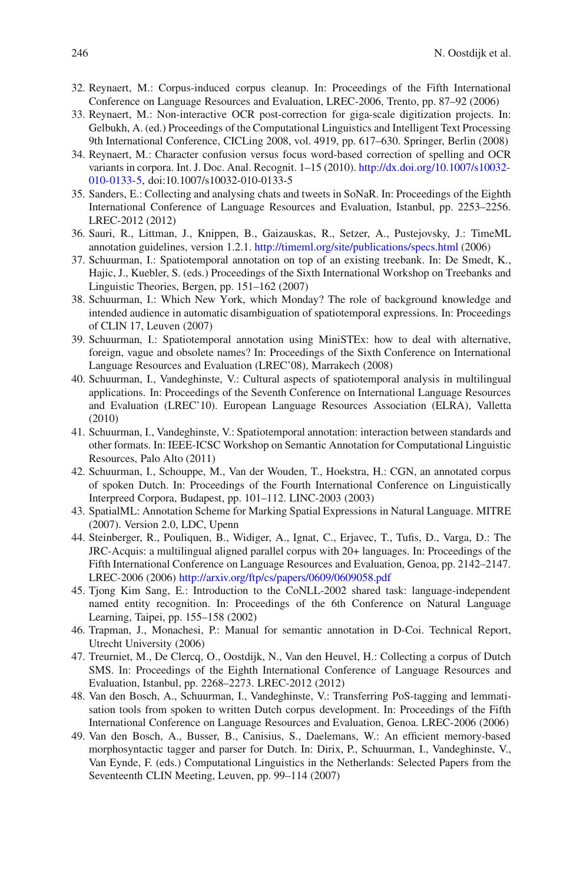- <span id="page-27-3"></span>32. Reynaert, M.: Corpus-induced corpus cleanup. In: Proceedings of the Fifth International Conference on Language Resources and Evaluation, LREC-2006, Trento, pp. 87–92 (2006)
- <span id="page-27-4"></span>33. Reynaert, M.: Non-interactive OCR post-correction for giga-scale digitization projects. In: Gelbukh, A. (ed.) Proceedings of the Computational Linguistics and Intelligent Text Processing 9th International Conference, CICLing 2008, vol. 4919, pp. 617–630. Springer, Berlin (2008)
- <span id="page-27-5"></span>34. Reynaert, M.: Character confusion versus focus word-based correction of spelling and OCR variants in corpora. Int. J. Doc. Anal. Recognit. 1–15 (2010). [http://dx.doi.org/10.1007/s10032-](http://dx.doi.org/10.1007/s10032-010-0133-5) [010-0133-5,](http://dx.doi.org/10.1007/s10032-010-0133-5) doi:10.1007/s10032-010-0133-5
- <span id="page-27-1"></span>35. Sanders, E.: Collecting and analysing chats and tweets in SoNaR. In: Proceedings of the Eighth International Conference of Language Resources and Evaluation, Istanbul, pp. 2253–2256. LREC-2012 (2012)
- <span id="page-27-11"></span>36. Sauri, R., Littman, J., Knippen, B., Gaizauskas, R., Setzer, A., Pustejovsky, J.: TimeML annotation guidelines, version 1.2.1. <http://timeml.org/site/publications/specs.html> (2006)
- <span id="page-27-13"></span>37. Schuurman, I.: Spatiotemporal annotation on top of an existing treebank. In: De Smedt, K., Hajic, J., Kuebler, S. (eds.) Proceedings of the Sixth International Workshop on Treebanks and Linguistic Theories, Bergen, pp. 151–162 (2007)
- <span id="page-27-16"></span>38. Schuurman, I.: Which New York, which Monday? The role of background knowledge and intended audience in automatic disambiguation of spatiotemporal expressions. In: Proceedings of CLIN 17, Leuven (2007)
- <span id="page-27-14"></span>39. Schuurman, I.: Spatiotemporal annotation using MiniSTEx: how to deal with alternative, foreign, vague and obsolete names? In: Proceedings of the Sixth Conference on International Language Resources and Evaluation (LREC'08), Marrakech (2008)
- <span id="page-27-17"></span>40. Schuurman, I., Vandeghinste, V.: Cultural aspects of spatiotemporal analysis in multilingual applications. In: Proceedings of the Seventh Conference on International Language Resources and Evaluation (LREC'10). European Language Resources Association (ELRA), Valletta (2010)
- <span id="page-27-15"></span>41. Schuurman, I., Vandeghinste, V.: Spatiotemporal annotation: interaction between standards and other formats. In: IEEE-ICSC Workshop on Semantic Annotation for Computational Linguistic Resources, Palo Alto (2011)
- <span id="page-27-8"></span>42. Schuurman, I., Schouppe, M., Van der Wouden, T., Hoekstra, H.: CGN, an annotated corpus of spoken Dutch. In: Proceedings of the Fourth International Conference on Linguistically Interpreed Corpora, Budapest, pp. 101–112. LINC-2003 (2003)
- <span id="page-27-12"></span>43. SpatialML: Annotation Scheme for Marking Spatial Expressions in Natural Language. MITRE (2007). Version 2.0, LDC, Upenn
- <span id="page-27-0"></span>44. Steinberger, R., Pouliquen, B., Widiger, A., Ignat, C., Erjavec, T., Tufis, D., Varga, D.: The JRC-Acquis: a multilingual aligned parallel corpus with 20+ languages. In: Proceedings of the Fifth International Conference on Language Resources and Evaluation, Genoa, pp. 2142–2147. LREC-2006 (2006) <http://arxiv.org/ftp/cs/papers/0609/0609058.pdf>
- <span id="page-27-9"></span>45. Tjong Kim Sang, E.: Introduction to the CoNLL-2002 shared task: language-independent named entity recognition. In: Proceedings of the 6th Conference on Natural Language Learning, Taipei, pp. 155–158 (2002)
- <span id="page-27-10"></span>46. Trapman, J., Monachesi, P.: Manual for semantic annotation in D-Coi. Technical Report, Utrecht University (2006)
- <span id="page-27-2"></span>47. Treurniet, M., De Clercq, O., Oostdijk, N., Van den Heuvel, H.: Collecting a corpus of Dutch SMS. In: Proceedings of the Eighth International Conference of Language Resources and Evaluation, Istanbul, pp. 2268–2273. LREC-2012 (2012)
- <span id="page-27-7"></span>48. Van den Bosch, A., Schuurman, I., Vandeghinste, V.: Transferring PoS-tagging and lemmatisation tools from spoken to written Dutch corpus development. In: Proceedings of the Fifth International Conference on Language Resources and Evaluation, Genoa. LREC-2006 (2006)
- <span id="page-27-6"></span>49. Van den Bosch, A., Busser, B., Canisius, S., Daelemans, W.: An efficient memory-based morphosyntactic tagger and parser for Dutch. In: Dirix, P., Schuurman, I., Vandeghinste, V., Van Eynde, F. (eds.) Computational Linguistics in the Netherlands: Selected Papers from the Seventeenth CLIN Meeting, Leuven, pp. 99–114 (2007)